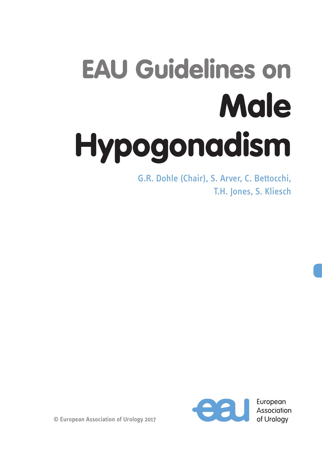# Male Hypogonadism EAU Guidelines on

G.R. Dohle (Chair), S. Arver, C. Bettocchi, T.H. Jones, S. Kliesch



© European Association of Urology 2017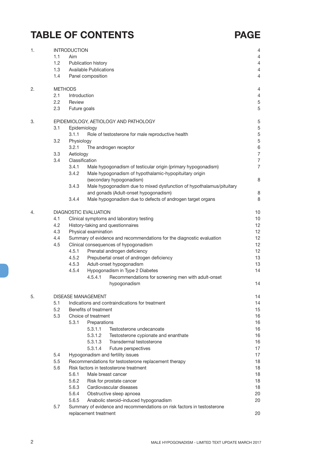## **TABLE OF CONTENTS PAGE**

| 1. |               | <b>INTRODUCTION</b> |                                                                         | 4              |
|----|---------------|---------------------|-------------------------------------------------------------------------|----------------|
|    | 1.1           | Aim                 |                                                                         | 4              |
|    | $1.2^{\circ}$ |                     | Publication history                                                     | 4              |
|    | 1.3           |                     | <b>Available Publications</b>                                           | 4              |
|    | 1.4           |                     | Panel composition                                                       | 4              |
| 2. |               | <b>METHODS</b>      |                                                                         | 4              |
|    | 2.1           | Introduction        |                                                                         | 4              |
|    | 2.2           | Review              |                                                                         | 5              |
|    | 2.3           | Future goals        |                                                                         | 5              |
| 3. |               |                     | EPIDEMIOLOGY, AETIOLOGY AND PATHOLOGY                                   | 5              |
|    | 3.1           |                     | Epidemiology                                                            | $\,$ 5 $\,$    |
|    |               | 3.1.1               | Role of testosterone for male reproductive health                       | 5              |
|    | 3.2           | Physiology          |                                                                         | 5              |
|    |               | 3.2.1               | The androgen receptor                                                   | 6              |
|    | 3.3           | Aetiology           |                                                                         | $\overline{7}$ |
|    | 3.4           |                     | Classification                                                          | $\overline{7}$ |
|    |               | 3.4.1               | Male hypogonadism of testicular origin (primary hypogonadism)           | $\overline{7}$ |
|    |               | 3.4.2               | Male hypogonadism of hypothalamic-hypopituitary origin                  |                |
|    |               |                     | (secondary hypogonadism)                                                | 8              |
|    |               | 3.4.3               | Male hypogonadism due to mixed dysfunction of hypothalamus/pituitary    |                |
|    |               |                     | and gonads (Adult-onset hypogonadism)                                   | 8              |
|    |               | 3.4.4               | Male hypogonadism due to defects of androgen target organs              | 8              |
| 4. |               |                     | <b>DIAGNOSTIC EVALUATION</b>                                            | 10             |
|    | 4.1           |                     | Clinical symptoms and laboratory testing                                | 10             |
|    | 4.2           |                     | History-taking and questionnaires                                       | 12             |
|    | 4.3           |                     | Physical examination                                                    | 12             |
|    | 4.4           |                     | Summary of evidence and recommendations for the diagnostic evaluation   | 12             |
|    | 4.5           |                     | Clinical consequences of hypogonadism                                   | 12             |
|    |               | 4.5.1               | Prenatal androgen deficiency                                            | 12             |
|    |               | 4.5.2               | Prepubertal onset of androgen deficiency                                | 13             |
|    |               | 4.5.3               | Adult-onset hypogonadism                                                | 13             |
|    |               | 4.5.4               | Hypogonadism in Type 2 Diabetes                                         | 14             |
|    |               |                     | 4.5.4.1<br>Recommendations for screening men with adult-onset           |                |
|    |               |                     | hypogonadism                                                            | 14             |
| 5. |               |                     | DISEASE MANAGEMENT                                                      | 14             |
|    | 5.1           |                     | Indications and contraindications for treatment                         | 14             |
|    | 5.2           |                     | Benefits of treatment                                                   | 15             |
|    | 5.3           |                     | Choice of treatment                                                     | 16             |
|    |               | 5.3.1               | Preparations                                                            | 16             |
|    |               |                     | 5.3.1.1<br>Testosterone undecanoate                                     | 16             |
|    |               |                     | 5.3.1.2<br>Testosterone cypionate and enanthate                         | 16             |
|    |               |                     | Transdermal testosterone<br>5.3.1.3                                     | 16             |
|    |               |                     | 5.3.1.4<br>Future perspectives                                          | 17             |
|    | 5.4           |                     | Hypogonadism and fertility issues                                       | 17             |
|    | 5.5           |                     | Recommendations for testosterone replacement therapy                    | 18             |
|    | 5.6           |                     | Risk factors in testosterone treatment                                  | 18             |
|    |               | 5.6.1               | Male breast cancer                                                      | 18             |
|    |               | 5.6.2               | Risk for prostate cancer                                                | 18             |
|    |               | 5.6.3               | Cardiovascular diseases                                                 | 18             |
|    |               | 5.6.4               | Obstructive sleep apnoea                                                | 20             |
|    |               | 5.6.5               | Anabolic steroid-induced hypogonadism                                   | 20             |
|    | 5.7           |                     | Summary of evidence and recommendations on risk factors in testosterone |                |
|    |               |                     | replacement treatment                                                   | 20             |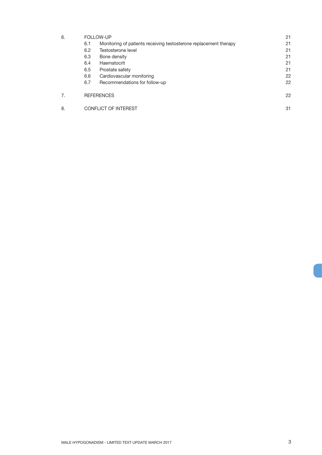| 6. | FOLLOW-UP                                                                |    |
|----|--------------------------------------------------------------------------|----|
|    | Monitoring of patients receiving testosterone replacement therapy<br>6.1 | 21 |
|    | 6.2<br>Testosterone level                                                | 21 |
|    | 6.3<br>Bone density                                                      | 21 |
|    | Haematocrit<br>6.4                                                       | 21 |
|    | 6.5<br>Prostate safety                                                   | 21 |
|    | 6.6<br>Cardiovascular monitoring                                         | 22 |
|    | 6.7<br>Recommendations for follow-up                                     | 22 |
| 7. | <b>REFERENCES</b>                                                        | 22 |
| 8. | <b>CONFLICT OF INTEREST</b>                                              | 31 |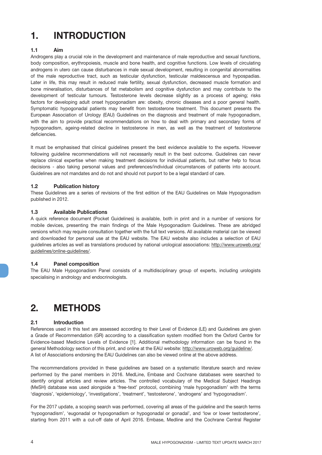## **1. INTRODUCTION**

#### **1.1 Aim**

Androgens play a crucial role in the development and maintenance of male reproductive and sexual functions, body composition, erythropoiesis, muscle and bone health, and cognitive functions. Low levels of circulating androgens in utero can cause disturbances in male sexual development, resulting in congenital abnormalities of the male reproductive tract, such as testicular dysfunction, testicular maldescensus and hypospadias. Later in life, this may result in reduced male fertility, sexual dysfunction, decreased muscle formation and bone mineralisation, disturbances of fat metabolism and cognitive dysfunction and may contribute to the development of testicular tumours. Testosterone levels decrease slightly as a process of ageing; risks factors for developing adult onset hypogonadism are: obesity, chronic diseases and a poor general health. Symptomatic hypogonadal patients may benefit from testosterone treatment. This document presents the European Association of Urology (EAU) Guidelines on the diagnosis and treatment of male hypogonadism, with the aim to provide practical recommendations on how to deal with primary and secondary forms of hypogonadism, ageing-related decline in testosterone in men, as well as the treatment of testosterone deficiencies.

It must be emphasised that clinical guidelines present the best evidence available to the experts. However following guideline recommendations will not necessarily result in the best outcome. Guidelines can never replace clinical expertise when making treatment decisions for individual patients, but rather help to focus decisions - also taking personal values and preferences/individual circumstances of patients into account. Guidelines are not mandates and do not and should not purport to be a legal standard of care.

#### **1.2 Publication history**

These Guidelines are a series of revisions of the first edition of the EAU Guidelines on Male Hypogonadism published in 2012.

#### **1.3 Available Publications**

A quick reference document (Pocket Guidelines) is available, both in print and in a number of versions for mobile devices, presenting the main findings of the Male Hypogonadism Guidelines. These are abridged versions which may require consultation together with the full text versions. All available material can be viewed and downloaded for personal use at the EAU website. The EAU website also includes a selection of EAU guidelines articles as well as translations produced by national urological associations: http://www.uroweb.org/ guidelines/online-guidelines/.

#### **1.4 Panel composition**

The EAU Male Hypogonadism Panel consists of a multidisciplinary group of experts, including urologists specialising in andrology and endocrinologists.

## **2. METHODS**

#### **2.1 Introduction**

References used in this text are assessed according to their Level of Evidence (LE) and Guidelines are given a Grade of Recommendation (GR) according to a classification system modified from the Oxford Centre for Evidence-based Medicine Levels of Evidence [1]. Additional methodology information can be found in the general Methodology section of this print, and online at the EAU website: http://www.uroweb.org/guideline/. A list of Associations endorsing the EAU Guidelines can also be viewed online at the above address.

The recommendations provided in these guidelines are based on a systematic literature search and review performed by the panel members in 2016. MedLine, Embase and Cochrane databases were searched to identify original articles and review articles. The controlled vocabulary of the Medical Subject Headings (MeSH) database was used alongside a 'free-text' protocol, combining 'male hypogonadism' with the terms 'diagnosis', 'epidemiology', 'investigations', 'treatment', 'testosterone', 'androgens' and 'hypogonadism'.

For the 2017 update, a scoping search was performed, covering all areas of the guideline and the search terms 'hypogonadism', 'eugonadal or hypogonadism or hypogonadal or gonadal', and 'low or lower testosterone', starting from 2011 with a cut-off date of April 2016. Embase, Medline and the Cochrane Central Register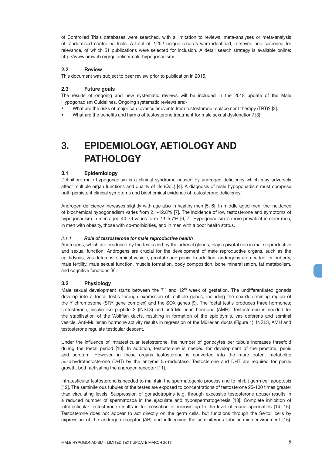of Controlled Trials databases were searched, with a limitation to reviews, meta-analyses or meta-analysis of randomised controlled trials. A total of 2,252 unique records were identified, retrieved and screened for relevance, of which 51 publications were selected for inclusion. A detail search strategy is available online: http://www.uroweb.org/guideline/male-hypogonadism/.

#### **2.2 Review**

This document was subject to peer review prior to publication in 2015.

#### **2.3 Future goals**

The results of ongoing and new systematic reviews will be included in the 2018 update of the Male Hypogonadism Guidelines. Ongoing systematic reviews are:-

- What are the risks of major cardiovascular events from testosterone replacement therapy (TRT)? [2].
- What are the benefits and harms of testosterone treatment for male sexual dysfunction? [3].

## **3. EPIDEMIOLOGY, AETIOLOGY AND PATHOLOGY**

#### **3.1 Epidemiology**

Definition: male hypogonadism is a clinical syndrome caused by androgen deficiency which may adversely affect multiple organ functions and quality of life (QoL) [4]. A diagnosis of male hypogonadism must comprise both persistent clinical symptoms and biochemical evidence of testosterone deficiency.

Androgen deficiency increases slightly with age also in healthy men [5, 6]. In middle-aged men, the incidence of biochemical hypogonadism varies from 2.1-12.8% [7]. The incidence of low testosterone and symptoms of hypogonadism in men aged 40-79 varies form 2.1-5.7% [6, 7]. Hypogonadism is more prevalent in older men, in men with obesity, those with co-morbidities, and in men with a poor health status.

#### *3.1.1 Role of testosterone for male reproductive health*

Androgens, which are produced by the testis and by the adrenal glands, play a pivotal role in male reproductive and sexual function. Androgens are crucial for the development of male reproductive organs, such as the epididymis, vas deferens, seminal vesicle, prostate and penis. In addition, androgens are needed for puberty, male fertility, male sexual function, muscle formation, body composition, bone mineralisation, fat metabolism, and cognitive functions [8].

#### **3.2 Physiology**

Male sexual development starts between the  $7<sup>th</sup>$  and  $12<sup>th</sup>$  week of gestation. The undifferentiated gonads develop into a foetal testis through expression of multiple genes, including the sex-determining region of the Y chromosome (SRY gene complex) and the SOX genes [9]. The foetal testis produces three hormones: testosterone, insulin-like peptide 3 (INSL3) and anti-Müllerian hormone (AMH). Testosterone is needed for the stabilisation of the Wolffian ducts, resulting in formation of the epididymis, vas deferens and seminal vesicle. Anti-Müllerian hormone activity results in regression of the Müllerian ducts (Figure 1). INSL3, AMH and testosterone regulate testicular descent.

Under the influence of intratesticular testosterone, the number of gonocytes per tubule increases threefold during the foetal period [10]. In addition, testosterone is needed for development of the prostate, penis and scrotum. However, in these organs testosterone is converted into the more potent metabolite 5α-dihydrotestosterone (DHT) by the enzyme 5α-reductase. Testosterone and DHT are required for penile growth, both activating the androgen receptor [11].

Intratesticular testosterone is needed to maintain the spermatogenic process and to inhibit germ cell apoptosis [12]. The seminiferous tubules of the testes are exposed to concentrations of testosterone 25-100 times greater than circulating levels. Suppression of gonadotropins (e.g. through excessive testosterone abuse) results in a reduced number of spermatozoa in the ejaculate and hypospermatogenesis [13]. Complete inhibition of intratesticular testosterone results in full cessation of meiosis up to the level of round spermatids [14, 15]. Testosterone does not appear to act directly on the germ cells, but functions through the Sertoli cells by expression of the androgen receptor (AR) and influencing the seminiferous tubular microenvironment [15].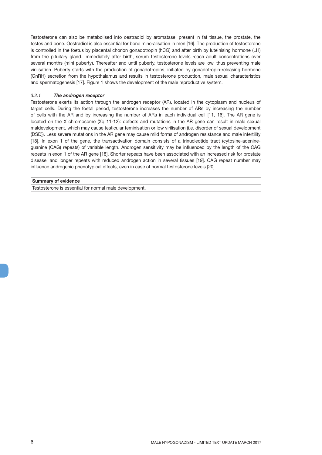Testosterone can also be metabolised into oestradiol by aromatase, present in fat tissue, the prostate, the testes and bone. Oestradiol is also essential for bone mineralisation in men [16]. The production of testosterone is controlled in the foetus by placental chorion gonadotropin (hCG) and after birth by luteinising hormone (LH) from the pituitary gland. Immediately after birth, serum testosterone levels reach adult concentrations over several months (mini puberty). Thereafter and until puberty, testosterone levels are low, thus preventing male virilisation. Puberty starts with the production of gonadotropins, initiated by gonadotropin-releasing hormone (GnRH) secretion from the hypothalamus and results in testosterone production, male sexual characteristics and spermatogenesis [17]. Figure 1 shows the development of the male reproductive system.

#### *3.2.1 The androgen receptor*

Testosterone exerts its action through the androgen receptor (AR), located in the cytoplasm and nucleus of target cells. During the foetal period, testosterone increases the number of ARs by increasing the number of cells with the AR and by increasing the number of ARs in each individual cell [11, 16]. The AR gene is located on the X chromosome (Xq 11-12): defects and mutations in the AR gene can result in male sexual maldevelopment, which may cause testicular feminisation or low virilisation (i.e. disorder of sexual development (DSD)). Less severe mutations in the AR gene may cause mild forms of androgen resistance and male infertility [18]. In exon 1 of the gene, the transactivation domain consists of a trinucleotide tract (cytosine-adenineguanine (CAG) repeats) of variable length. Androgen sensitivity may be influenced by the length of the CAG repeats in exon 1 of the AR gene [18]. Shorter repeats have been associated with an increased risk for prostate disease, and longer repeats with reduced androgen action in several tissues [19]. CAG repeat number may influence androgenic phenotypical effects, even in case of normal testosterone levels [20].

#### **Summary of evidence**

Testosterone is essential for normal male development.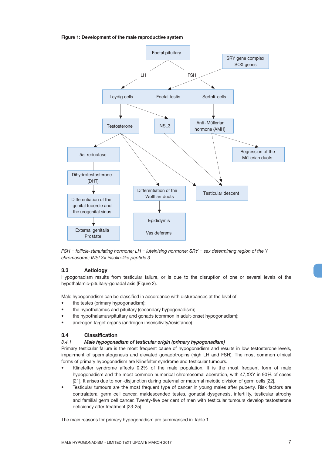**Figure 1: Development of the male reproductive system**



*FSH = follicle-stimulating hormone; LH = luteinising hormone; SRY = sex determining region of the Y chromosome; INSL3= insulin-like peptide 3.*

#### **3.3 Aetiology**

Hypogonadism results from testicular failure, or is due to the disruption of one or several levels of the hypothalamic-pituitary-gonadal axis (Figure 2).

Male hypogonadism can be classified in accordance with disturbances at the level of:

- the testes (primary hypogonadism);
- the hypothalamus and pituitary (secondary hypogonadism);
- the hypothalamus/pituitary and gonads (common in adult-onset hypogonadism);
- androgen target organs (androgen insensitivity/resistance).

#### **3.4 Classification**

#### *3.4.1 Male hypogonadism of testicular origin (primary hypogonadism)*

Primary testicular failure is the most frequent cause of hypogonadism and results in low testosterone levels, impairment of spermatogenesis and elevated gonadotropins (high LH and FSH). The most common clinical forms of primary hypogonadism are Klinefelter syndrome and testicular tumours.

- Klinefelter syndrome affects 0.2% of the male population. It is the most frequent form of male hypogonadism and the most common numerical chromosomal aberration, with 47,XXY in 90% of cases [21]. It arises due to non-disiunction during paternal or maternal meiotic division of germ cells [22].
- Testicular tumours are the most frequent type of cancer in young males after puberty. Risk factors are contralateral germ cell cancer, maldescended testes, gonadal dysgenesis, infertility, testicular atrophy and familial germ cell cancer. Twenty-five per cent of men with testicular tumours develop testosterone deficiency after treatment [23-25].

The main reasons for primary hypogonadism are summarised in Table 1.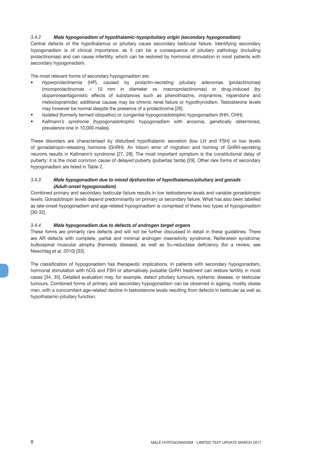#### *3.4.2 Male hypogonadism of hypothalamic-hypopituitary origin (secondary hypogonadism)*

Central defects of the hypothalamus or pituitary cause secondary testicular failure. Identifying secondary hypogonadism is of clinical importance, as it can be a consequence of pituitary pathology (including prolactinomas) and can cause infertility, which can be restored by hormonal stimulation in most patients with secondary hypogonadism.

The most relevant forms of secondary hypogonadism are:

- *Hyperprolactinemia* (HP), caused by prolactin-secreting pituitary adenomas (prolactinomas) (microprolactinomas < 10 mm in diameter vs. macroprolactinomas) or drug-induced (by dopamineantagonistic effects of substances such as phenothiazine, imipramine, risperidone and metoclopramide); additional causes may be chronic renal failure or hypothyroidism. Testosterone levels may however be normal despite the presence of a prolactinoma [26].
- *Isolated* (formerly termed idiopathic) or congenital hypogonadotrophic hypogonadism (IHH, CHH).
- *Kallmann's syndrome* (hypogonadotrophic hypogonadism with anosmia, genetically determined, prevalence one in 10,000 males).

These disorders are characterised by disturbed hypothalamic secretion (low LH and FSH) or low levels of gonadatropin-releasing hormone (GnRH). An inborn error of migration and homing of GnRH-secreting neurons results in Kallmann's syndrome [27, 28]. The most important symptom is the constitutional delay of puberty: it is the most common cause of delayed puberty (pubertas tarda) [29]. Other rare forms of secondary hypogonadism are listed in Table 2.

#### *3.4.3 Male hypogonadism due to mixed dysfunction of hypothalamus/pituitary and gonads (Adult-onset hypogonadism)*

Combined primary and secondary testicular failure results in low testosterone levels and variable gonadotropin levels. Gonadotropin levels depend predominantly on primary or secondary failure. What has also been labelled as late-onset hypogonadism and age-related hypogonadism is comprised of these two types of hypogonadism [30-32].

#### *3.4.4 Male hypogonadism due to defects of androgen target organs*

These forms are primarily rare defects and will not be further discussed in detail in these guidelines. There are AR defects with complete, partial and minimal androgen insensitivity syndrome; Reifenstein syndrome; bulbospinal muscular atrophy (Kennedy disease); as well as 5α-reductase deficiency (for a review, see Nieschlag *et al.* 2010) [33].

The classification of hypogonadism has therapeutic implications. In patients with secondary hypogonadism, hormonal stimulation with hCG and FSH or alternatively pulsatile GnRH treatment can restore fertility in most cases [34, 35]. Detailed evaluation may, for example, detect pituitary tumours, systemic disease, or testicular tumours. Combined forms of primary and secondary hypogonadism can be observed in ageing, mostly obese men, with a concomitant age-related decline in testosterone levels resulting from defects in testicular as well as hypothalamic-pituitary function.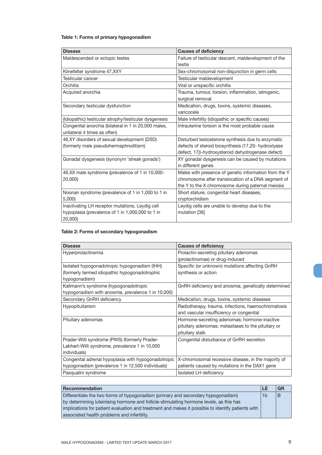### **Table 1: Forms of primary hypogonadism**

| <b>Disease</b>                                                                                                 | <b>Causes of deficiency</b>                                                                                                                                      |
|----------------------------------------------------------------------------------------------------------------|------------------------------------------------------------------------------------------------------------------------------------------------------------------|
| Maldescended or ectopic testes                                                                                 | Failure of testicular descent, maldevelopment of the<br>testis                                                                                                   |
| Klinefelter syndrome 47, XXY                                                                                   | Sex-chromosomal non-disjunction in germ cells                                                                                                                    |
| Testicular cancer                                                                                              | Testicular maldevelopment                                                                                                                                        |
| Orchitis                                                                                                       | Viral or unspecific orchitis                                                                                                                                     |
| Acquired anorchia                                                                                              | Trauma, tumour, torsion, inflammation, iatrogenic,<br>surgical removal                                                                                           |
| Secondary testicular dysfunction                                                                               | Medication, drugs, toxins, systemic diseases,<br>varicocele                                                                                                      |
| (Idiopathic) testicular atrophy/testicular dysgenesis                                                          | Male infertility (idiopathic or specific causes)                                                                                                                 |
| Congenital anorchia (bilateral in 1 in 20,000 males,<br>unilateral 4 times as often)                           | Intrauterine torsion is the most probable cause                                                                                                                  |
| 46, XY disorders of sexual development (DSD)                                                                   | Disturbed testosterone synthesis due to enzymatic                                                                                                                |
| (formerly male pseudohermaphroditism)                                                                          | defects of steroid biosynthesis (17,20- hydroxlyase<br>defect, 17β-hydroxysteroid dehydrogenase defect)                                                          |
| Gonadal dysgenesis (synonym 'streak gonads')                                                                   | XY gonadal dysgenesis can be caused by mutations<br>in different genes                                                                                           |
| 46, XX male syndrome (prevalence of 1 in 10,000-<br>20,000)                                                    | Males with presence of genetic information from the Y<br>chromosome after translocation of a DNA segment of<br>the Y to the X chromosome during paternal meiosis |
| Noonan syndrome (prevalence of 1 in 1,000 to 1 in<br>5,000                                                     | Short stature, congenital heart diseases,<br>cryptorchidism                                                                                                      |
| Inactivating LH receptor mutations, Leydig cell<br>hypoplasia (prevalence of 1 in 1,000,000 to 1 in<br>20,000) | Leydig cells are unable to develop due to the<br>mutation [36]                                                                                                   |

### **Table 2: Forms of secondary hypogonadism**

| <b>Disease</b>                                      | <b>Causes of deficiency</b>                         |
|-----------------------------------------------------|-----------------------------------------------------|
| Hyperprolactinemia                                  | Prolactin-secreting pituitary adenomas              |
|                                                     | (prolactinomas) or drug-induced                     |
| Isolated hypogonadotropic hypogonadism (IHH)        | Specific (or unknown) mutations affecting GnRH      |
| (formerly termed idiopathic hypogonadotrophic       | synthesis or action                                 |
| hypogonadism)                                       |                                                     |
| Kallmann's syndrome (hypogonadotropic               | GnRH deficiency and anosmia, genetically determined |
| hypogonadism with anosmia, prevalence 1 in 10,000)  |                                                     |
| Secondary GnRH deficiency                           | Medication, drugs, toxins, systemic diseases        |
| Hypopituitarism                                     | Radiotherapy, trauma, infections, haemochromatosis  |
|                                                     | and vascular insufficiency or congenital            |
| Pituitary adenomas                                  | Hormone-secreting adenomas; hormone-inactive        |
|                                                     | pituitary adenomas; metastases to the pituitary or  |
|                                                     | pituitary stalk                                     |
| Prader-Willi syndrome (PWS) (formerly Prader-       | Congenital disturbance of GnRH secretion            |
| Labhart-Willi syndrome, prevalence 1 in 10,000      |                                                     |
| individuals)                                        |                                                     |
| Congenital adrenal hypoplasia with hypogonadotropic | X-chromosomal recessive disease, in the majority of |
| hypogonadism (prevalence 1 in 12,500 individuals)   | patients caused by mutations in the DAX1 gene       |
| Pasqualini syndrome                                 | Isolated LH deficiency                              |

| <b>Recommendation</b>                                                                             | LE             | GR |
|---------------------------------------------------------------------------------------------------|----------------|----|
| Differentiate the two forms of hypogonadism (primary and secondary hypogonadism)                  | 1 <sub>b</sub> |    |
| by determining luteinising hormone and follicle-stimulating hormone levels, as this has           |                |    |
| implications for patient evaluation and treatment and makes it possible to identify patients with |                |    |
| associated health problems and infertility.                                                       |                |    |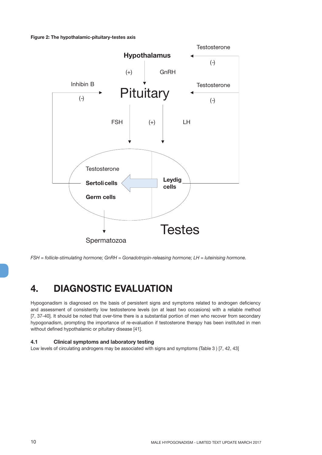

*FSH = follicle-stimulating hormone; GnRH = Gonadotropin-releasing hormone; LH = luteinising hormone.*

## **4. DIAGNOSTIC EVALUATION**

Hypogonadism is diagnosed on the basis of persistent signs and symptoms related to androgen deficiency and assessment of consistently low testosterone levels (on at least two occasions) with a reliable method [7, 37-40]. It should be noted that over-time there is a substantial portion of men who recover from secondary hypogonadism, prompting the importance of re-evaluation if testosterone therapy has been instituted in men without defined hypothalamic or pituitary disease [41].

#### **4.1 Clinical symptoms and laboratory testing**

Low levels of circulating androgens may be associated with signs and symptoms (Table 3 ) [7, 42, 43]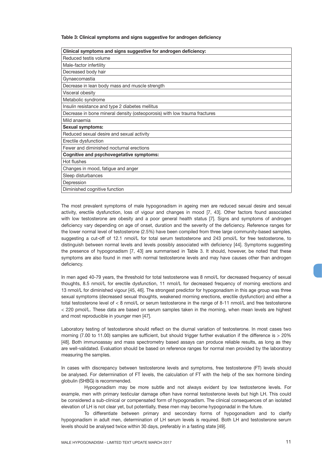**Table 3: Clinical symptoms and signs suggestive for androgen deficiency**

| Clinical symptoms and signs suggestive for androgen deficiency:           |
|---------------------------------------------------------------------------|
| Reduced testis volume                                                     |
| Male-factor infertility                                                   |
| Decreased body hair                                                       |
| Gynaecomastia                                                             |
| Decrease in lean body mass and muscle strength                            |
| Visceral obesity                                                          |
| Metabolic syndrome                                                        |
| Insulin resistance and type 2 diabetes mellitus                           |
| Decrease in bone mineral density (osteoporosis) with low trauma fractures |
| Mild anaemia                                                              |
| <b>Sexual symptoms:</b>                                                   |
| Reduced sexual desire and sexual activity                                 |
| Erectile dysfunction                                                      |
| Fewer and diminished nocturnal erections                                  |
| Cognitive and psychovegetative symptoms:                                  |
| Hot flushes                                                               |
| Changes in mood, fatigue and anger                                        |
| Sleep disturbances                                                        |
| Depression                                                                |
| Diminished cognitive function                                             |

The most prevalent symptoms of male hypogonadism in ageing men are reduced sexual desire and sexual activity, erectile dysfunction, loss of vigour and changes in mood [7, 43]. Other factors found associated with low testosterone are obesity and a poor general health status [7]. Signs and symptoms of androgen deficiency vary depending on age of onset, duration and the severity of the deficiency. Reference ranges for the lower normal level of testosterone (2.5%) have been compiled from three large community-based samples, suggesting a cut-off of 12.1 nmol/L for total serum testosterone and 243 pmol/L for free testosterone, to distinguish between normal levels and levels possibly associated with deficiency [44]. Symptoms suggesting the presence of hypogonadism [7, 43] are summarised in Table 3. It should, however, be noted that these symptoms are also found in men with normal testosterone levels and may have causes other than androgen deficiency.

In men aged 40-79 years, the threshold for total testosterone was 8 nmol/L for decreased frequency of sexual thoughts, 8.5 nmol/L for erectile dysfunction, 11 nmol/L for decreased frequency of morning erections and 13 nmol/L for diminished vigour [45, 46]. The strongest predictor for hypogonadism in this age group was three sexual symptoms (decreased sexual thoughts, weakened morning erections, erectile dysfunction) and either a total testosterone level of < 8 nmol/L or serum testosterone in the range of 8-11 nmol/L and free testosterone < 220 pmol/L. These data are based on serum samples taken in the morning, when mean levels are highest and most reproducible in younger men [47].

Laboratory testing of testosterone should reflect on the diurnal variation of testosterone. In most cases two morning (7.00 to 11.00) samples are sufficient, but should trigger further evaluation if the difference is  $>20\%$ [48]. Both immunoassay and mass spectrometry based assays can produce reliable results, as long as they are well-validated. Evaluation should be based on reference ranges for normal men provided by the laboratory measuring the samples.

In cases with discrepancy between testosterone levels and symptoms, free testosterone (FT) levels should be analysed. For determination of FT levels, the calculation of FT with the help of the sex hormone binding globulin (SHBG) is recommended.

Hypogonadism may be more subtle and not always evident by low testosterone levels. For example, men with primary testicular damage often have normal testosterone levels but high LH. This could be considered a sub-clinical or compensated form of hypogonadism. The clinical consequences of an isolated elevation of LH is not clear yet, but potentially, these men may become hypogonadal in the future.

To differentiate between primary and secondary forms of hypogonadism and to clarify hypogonadism in adult men, determination of LH serum levels is required. Both LH and testosterone serum levels should be analysed twice within 30 days, preferably in a fasting state [49].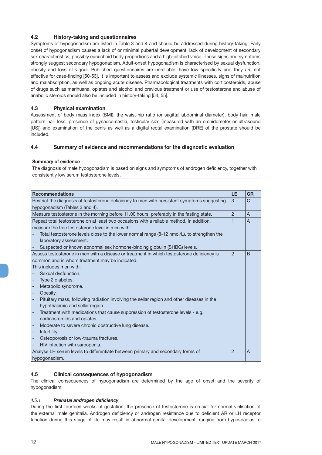#### **4.2 History-taking and questionnaires**

Symptoms of hypogonadism are listed in Table 3 and 4 and should be addressed during history-taking. Early onset of hypogonadism causes a lack of or minimal pubertal development, lack of development of secondary sex characteristics, possibly eunuchoid body proportions and a high-pitched voice. These signs and symptoms strongly suggest secondary hypogonadism. Adult-onset hypogonadism is characterised by sexual dysfunction, obesity and loss of vigour. Published questionnaires are unreliable, have low specificity and they are not effective for case-finding [50-53]. It is important to assess and exclude systemic illnesses, signs of malnutrition and malabsorption, as well as ongoing acute disease. Pharmacological treatments with corticosteroids, abuse of drugs such as marihuana, opiates and alcohol and previous treatment or use of testosterone and abuse of anabolic steroids should also be included in history-taking [54, 55].

#### **4.3 Physical examination**

Assessment of body mass index (BMI), the waist-hip ratio (or sagittal abdominal diameter), body hair, male pattern hair loss, presence of gynaecomastia, testicular size (measured with an orchidometer or ultrasound [US]) and examination of the penis as well as a digital rectal examination (DRE) of the prostate should be included.

#### **4.4 Summary of evidence and recommendations for the diagnostic evaluation**

#### **Summary of evidence**

The diagnosis of male hypogonadism is based on signs and symptoms of androgen deficiency, together with consistently low serum testosterone levels.

| <b>Recommendations</b>                                                                                                | LE             | <b>GR</b>      |
|-----------------------------------------------------------------------------------------------------------------------|----------------|----------------|
| Restrict the diagnosis of testosterone deficiency to men with persistent symptoms suggesting                          | 3              | C              |
| hypogonadism (Tables 3 and 4).                                                                                        |                |                |
| Measure testosterone in the morning before 11.00 hours, preferably in the fasting state.                              | $\overline{2}$ | $\overline{A}$ |
| Repeat total testosterone on at least two occasions with a reliable method. In addition,                              | 1              | A              |
| measure the free testosterone level in men with:                                                                      |                |                |
| Total testosterone levels close to the lower normal range (8-12 nmol/L), to strengthen the                            |                |                |
| laboratory assessment.                                                                                                |                |                |
| Suspected or known abnormal sex hormone-binding globulin (SHBG) levels.                                               |                |                |
| Assess testosterone in men with a disease or treatment in which testosterone deficiency is                            | 2              | B              |
| common and in whom treatment may be indicated.                                                                        |                |                |
| This includes men with:                                                                                               |                |                |
| Sexual dysfunction.                                                                                                   |                |                |
| Type 2 diabetes.                                                                                                      |                |                |
| Metabolic syndrome.                                                                                                   |                |                |
| Obesity.<br>$\overline{\phantom{a}}$                                                                                  |                |                |
| Pituitary mass, following radiation involving the sellar region and other diseases in the<br>$\overline{\phantom{0}}$ |                |                |
| hypothalamic and sellar region.                                                                                       |                |                |
| Treatment with medications that cause suppression of testosterone levels - e.g.                                       |                |                |
| corticosteroids and opiates.                                                                                          |                |                |
| Moderate to severe chronic obstructive lung disease.<br>-                                                             |                |                |
| Infertility.<br>-                                                                                                     |                |                |
| Osteoporosis or low-trauma fractures.                                                                                 |                |                |
| HIV infection with sarcopenia.                                                                                        |                |                |
| Analyse LH serum levels to differentiate between primary and secondary forms of                                       |                | A              |
| hypogonadism.                                                                                                         |                |                |

#### **4.5 Clinical consequences of hypogonadism**

The clinical consequences of hypogonadism are determined by the age of onset and the severity of hypogonadism.

#### *4.5.1 Prenatal androgen deficiency*

During the first fourteen weeks of gestation, the presence of testosterone is crucial for normal virilisation of the external male genitalia. Androgen deficiency or androgen resistance due to deficient AR or LH receptor function during this stage of life may result in abnormal genital development, ranging from hypospadias to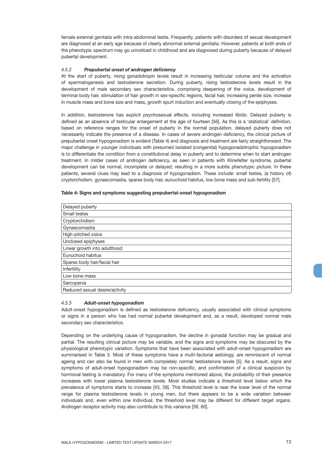female external genitalia with intra-abdominal testis. Frequently, patients with disorders of sexual development are diagnosed at an early age because of clearly abnormal external genitalia. However, patients at both ends of the phenotypic spectrum may go unnoticed in childhood and are diagnosed during puberty because of delayed pubertal development.

#### *4.5.2 Prepubertal onset of androgen deficiency*

At the start of puberty, rising gonadotropin levels result in increasing testicular volume and the activation of spermatogenesis and testosterone secretion. During puberty, rising testosterone levels result in the development of male secondary sex characteristics, comprising deepening of the voice, development of terminal body hair, stimulation of hair growth in sex-specific regions, facial hair, increasing penile size, increase in muscle mass and bone size and mass, growth spurt induction and eventually closing of the epiphyses.

In addition, testosterone has explicit psychosexual effects, including increased libido. Delayed puberty is defined as an absence of testicular enlargement at the age of fourteen [56]. As this is a 'statistical' definition, based on reference ranges for the onset of puberty in the normal population, delayed puberty does not necessarily indicate the presence of a disease. In cases of severe androgen deficiency, the clinical picture of prepubertal onset hypogonadism is evident (Table 4) and diagnosis and treatment are fairly straightforward. The major challenge in younger individuals with presumed isolated (congenital) hypogonadotrophic hypogonadism is to differentiate the condition from a constitutional delay in puberty and to determine when to start androgen treatment. In milder cases of androgen deficiency, as seen in patients with Klinefelter syndrome, pubertal development can be normal, incomplete or delayed, resulting in a more subtle phenotypic picture. In these patients, several clues may lead to a diagnosis of hypogonadism. These include: small testes, (a history of) cryptorchidism, gynaecomastia, sparse body hair, eunuchoid habitus, low bone mass and sub-fertility [57].

#### **Table 4: Signs and symptoms suggesting prepubertal-onset hypogonadism**

| Delayed puberty                |  |  |
|--------------------------------|--|--|
| Small testes                   |  |  |
| Cryptorchidism                 |  |  |
| Gynaecomastia                  |  |  |
| High-pitched voice             |  |  |
| Unclosed epiphyses             |  |  |
| Linear growth into adulthood   |  |  |
| Eunuchoid habitus              |  |  |
| Sparse body hair/facial hair   |  |  |
| Infertility                    |  |  |
| Low bone mass                  |  |  |
| Sarcopenia                     |  |  |
| Reduced sexual desire/activity |  |  |

#### *4.5.3 Adult-onset hypogonadism*

Adult-onset hypogonadism is defined as testosterone deficiency, usually associated with clinical symptoms or signs in a person who has had normal pubertal development and, as a result, developed normal male secondary sex characteristics.

Depending on the underlying cause of hypogonadism, the decline in gonadal function may be gradual and partial. The resulting clinical picture may be variable, and the signs and symptoms may be obscured by the physiological phenotypic variation. Symptoms that have been associated with adult-onset hypogonadism are summarised in Table 3. Most of these symptoms have a multi-factorial aetiology, are reminiscent of normal ageing and can also be found in men with completely normal testosterone levels [5]. As a result, signs and symptoms of adult-onset hypogonadism may be non-specific, and confirmation of a clinical suspicion by hormonal testing is mandatory. For many of the symptoms mentioned above, the probability of their presence increases with lower plasma testosterone levels. Most studies indicate a threshold level below which the prevalence of symptoms starts to increase [43, 58]. This threshold level is near the lower level of the normal range for plasma testosterone levels in young men, but there appears to be a wide variation between individuals and, even within one individual, the threshold level may be different for different target organs. Androgen receptor activity may also contribute to this variance [59, 60].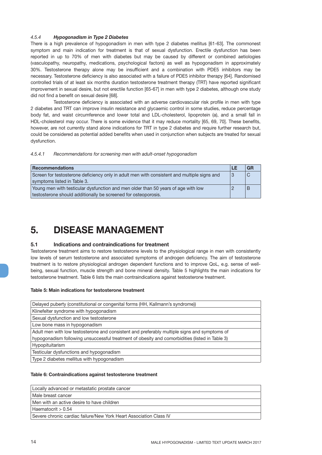#### *4.5.4 Hypogonadism in Type 2 Diabetes*

There is a high prevalence of hypogonadism in men with type 2 diabetes mellitus [61-63]. The commonest symptom and main indication for treatment is that of sexual dysfunction. Erectile dysfunction has been reported in up to 70% of men with diabetes but may be caused by different or combined aetiologies (vasculopathy, neuropathy, medications, psychological factors) as well as hypogonadism in approximately 30%. Testosterone therapy alone may be insufficient and a combination with PDE5 inhibitors may be necessary. Testosterone deficiency is also associated with a failure of PDE5 inhibitor therapy [64]. Randomised controlled trials of at least six months duration testosterone treatment therapy (TRT) have reported significant improvement in sexual desire, but not erectile function [65-67] in men with type 2 diabetes, although one study did not find a benefit on sexual desire [68].

Testosterone deficiency is associated with an adverse cardiovascular risk profile in men with type 2 diabetes and TRT can improve insulin resistance and glycaemic control in some studies, reduce percentage body fat, and waist circumference and lower total and LDL-cholesterol, lipoprotein (a), and a small fall in HDL-cholesterol may occur. There is some evidence that it may reduce mortality [65, 69, 70]. These benefits, however, are not currently stand alone indications for TRT in type 2 diabetes and require further research but, could be considered as potential added benefits when used in conjunction when subjects are treated for sexual dysfunction.

#### *4.5.4.1 Recommendations for screening men with adult-onset hypogonadism*

| <b>Recommendations</b>                                                                      | LE             | GR  |
|---------------------------------------------------------------------------------------------|----------------|-----|
| Screen for testosterone deficiency only in adult men with consistent and multiple signs and | $\overline{3}$ | l C |
| symptoms listed in Table 3.                                                                 |                |     |
| Young men with testicular dysfunction and men older than 50 years of age with low           |                | B   |
| testosterone should additionally be screened for osteoporosis.                              |                |     |

## **5. DISEASE MANAGEMENT**

#### **5.1 Indications and contraindications for treatment**

Testosterone treatment aims to restore testosterone levels to the physiological range in men with consistently low levels of serum testosterone and associated symptoms of androgen deficiency. The aim of testosterone treatment is to restore physiological androgen dependent functions and to improve QoL, e.g. sense of wellbeing, sexual function, muscle strength and bone mineral density. Table 5 highlights the main indications for testosterone treatment. Table 6 lists the main contraindications against testosterone treatment.

#### **Table 5: Main indications for testosterone treatment**

| Delayed puberty (constitutional or congenital forms (HH, Kallmann's syndrome))                 |
|------------------------------------------------------------------------------------------------|
| Klinefelter syndrome with hypogonadism                                                         |
| Sexual dysfunction and low testosterone                                                        |
| Low bone mass in hypogonadism                                                                  |
| Adult men with low testosterone and consistent and preferably multiple signs and symptoms of   |
| hypogonadism following unsuccessful treatment of obesity and comorbidities (listed in Table 3) |
| Hypopituitarism                                                                                |
| Testicular dysfunctions and hypogonadism                                                       |
| Type 2 diabetes mellitus with hypogonadism                                                     |
|                                                                                                |

#### **Table 6: Contraindications against testosterone treatment**

| Locally advanced or metastatic prostate cancer                     |
|--------------------------------------------------------------------|
| l Male breast cancer                                               |
| l Men with an active desire to have children                       |
| Haematocrit > 0.54                                                 |
| Severe chronic cardiac failure/New York Heart Association Class IV |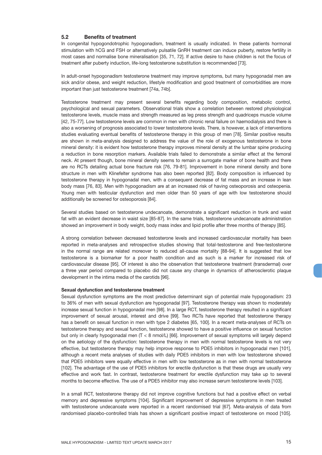#### **5.2 Benefits of treatment**

In congenital hypogondotrophic hypogonadism, treatment is usually indicated. In these patients hormonal stimulation with hCG and FSH or alternatively pulsatile GnRH treatment can induce puberty, restore fertility in most cases and normalise bone mineralisation [35, 71, 72]. If active desire to have children is not the focus of treatment after puberty induction, life-long testosterone substitution is recommended [73].

In adult-onset hypogonadism testosterone treatment may improve symptoms, but many hypogonadal men are sick and/or obese, and weight reduction, lifestyle modification and good treatment of comorbidities are more important than just testosterone treatment [74a, 74b].

Testosterone treatment may present several benefits regarding body composition, metabolic control, psychological and sexual parameters. Observational trials show a correlation between restored physiological testosterone levels, muscle mass and strength measured as leg press strength and quadriceps muscle volume [42, 75-77]. Low testosterone levels are common in men with chronic renal failure on haemodialysis and there is also a worsening of prognosis associated to lower testosterone levels. There, is however, a lack of interventions studies evaluating eventual benefits of testosterone therapy in this group of men [78]. Similar positive results are shown in meta-analysis designed to address the value of the role of exogenous testosterone in bone mineral density: it is evident how testosterone therapy improves mineral density at the lumbar spine producing a reduction in bone resorption markers. Available trials failed to demonstrate a similar effect at the femoral neck. At present though, bone mineral density seems to remain a surrogate marker of bone health and there are no RCTs detailing actual bone fracture risk [76, 79-81]. Improvement in bone mineral density and bone structure in men with Klinefelter syndrome has also been reported [82]. Body composition is influenced by testosterone therapy in hypogonadal men, with a consequent decrease of fat mass and an increase in lean body mass [76, 83]. Men with hypogonadism are at an increased risk of having osteoporosis and osteopenia. Young men with testicular dysfunction and men older than 50 years of age with low testosterone should additionally be screened for osteoporosis [84].

Several studies based on testosterone undecanoate, demonstrate a significant reduction in trunk and waist fat with an evident decrease in waist size [85-87]. In the same trials, testosterone undecanoate administration showed an improvement in body weight, body mass index and lipid profile after three months of therapy [85].

A strong correlation between decreased testosterone levels and increased cardiovascular mortality has been reported in meta-analyses and retrospective studies showing that total-testosterone and free-testosterone in the normal range are related moreover to reduced all-cause mortality [88-94]. It is suggested that low testosterone is a biomarker for a poor health condition and as such is a marker for increased risk of cardiovascular disease [95]. Of interest is also the observation that testosterone treatment (transdermal) over a three year period compared to placebo did not cause any change in dynamics of atherosclerotic plaque development in the intima media of the carotids [96].

#### **Sexual dysfunction and testosterone treatment**

Sexual dysfunction symptoms are the most predictive determinant sign of potential male hypogonadism: 23 to 36% of men with sexual dysfunction are hypogonadal [97]. Testosterone therapy was shown to moderately increase sexual function in hypogonadal men [98]. In a large RCT, testosterone therapy resulted in a significant improvement of sexual arousal, interest and drive [99]. Two RCTs have reported that testosterone therapy has a benefit on sexual function in men with type 2 diabetes [65, 100]. In a recent meta-analyses of RCTs on testosterone therapy and sexual function, testosterone showed to have a positive influence on sexual function but only in clearly hypogonadal men (T < 8 nmol/L) [66]. Improvement of sexual symptoms will largely depend on the aetiology of the dysfunction: testosterone therapy in men with normal testosterone levels is not very effective, but testosterone therapy may help improve response to PDE5 inhibitors in hypogonadal men [101], although a recent meta analyses of studies with daily PDE5 inhibitors in men with low testosterone showed that PDE5 inhibitors were equally effective in men with low testosterone as in men with normal testosterone [102]. The advantage of the use of PDE5 inhibitors for erectile dysfunction is that these drugs are usually very effective and work fast. In contrast, testosterone treatment for erectile dysfunction may take up to several months to become effective. The use of a PDE5 inhibitor may also increase serum testosterone levels [103].

In a small RCT, testosterone therapy did not improve cognitive functions but had a positive effect on verbal memory and depressive symptoms [104]. Significant improvement of depressive symptoms in men treated with testosterone undecanoate were reported in a recent randomised trial [67]. Meta-analysis of data from randomised placebo-controlled trials has shown a significant positive impact of testosterone on mood [105].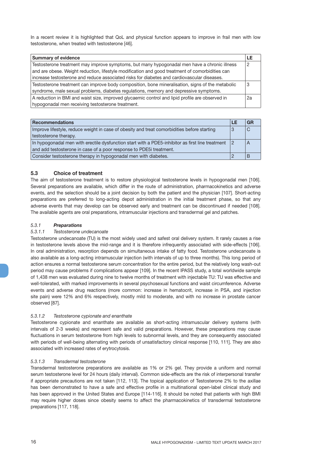In a recent review it is highlighted that QoL and physical function appears to improve in frail men with low testosterone, when treated with testosterone [46].

| <b>Summary of evidence</b>                                                                       | LE |
|--------------------------------------------------------------------------------------------------|----|
| Testosterone treatment may improve symptoms, but many hypogonadal men have a chronic illness     |    |
| and are obese. Weight reduction, lifestyle modification and good treatment of comorbidities can  |    |
| increase testosterone and reduce associated risks for diabetes and cardiovascular diseases.      |    |
| Testosterone treatment can improve body composition, bone mineralisation, signs of the metabolic |    |
| syndrome, male sexual problems, diabetes regulations, memory and depressive symptoms.            |    |
| A reduction in BMI and waist size, improved glycaemic control and lipid profile are observed in  | 2a |
| hypogonadal men receiving testosterone treatment.                                                |    |

| <b>Recommendations</b>                                                                           | LE | GF  |
|--------------------------------------------------------------------------------------------------|----|-----|
| Improve lifestyle, reduce weight in case of obesity and treat comorbidities before starting      | 3  | l C |
| testosterone therapy.                                                                            |    |     |
| In hypogonadal men with erectile dysfunction start with a PDE5-inhibitor as first line treatment | 12 | l A |
| and add testosterone in case of a poor response to PDE5 treatment.                               |    |     |
| Consider testosterone therapy in hypogonadal men with diabetes.                                  |    | B   |

#### **5.3 Choice of treatment**

The aim of testosterone treatment is to restore physiological testosterone levels in hypogonadal men [106]. Several preparations are available, which differ in the route of administration, pharmacokinetics and adverse events, and the selection should be a joint decision by both the patient and the physician [107]. Short-acting preparations are preferred to long-acting depot administration in the initial treatment phase, so that any adverse events that may develop can be observed early and treatment can be discontinued if needed [108]. The available agents are oral preparations, intramuscular injections and transdermal gel and patches.

#### *5.3.1 Preparations*

#### *5.3.1.1 Testosterone undecanoate*

Testosterone undecanoate (TU) is the most widely used and safest oral delivery system. It rarely causes a rise in testosterone levels above the mid-range and it is therefore infrequently associated with side-effects [106]. In oral administration, resorption depends on simultaneous intake of fatty food. Testosterone undecanoate is also available as a long-acting intramuscular injection (with intervals of up to three months). This long period of action ensures a normal testosterone serum concentration for the entire period, but the relatively long wash-out period may cause problems if complications appear [109]. In the recent IPASS study, a total worldwide sample of 1,438 men was evaluated during nine to twelve months of treatment with injectable TU: TU was effective and well-tolerated, with marked improvements in several psychosexual functions and waist circumference. Adverse events and adverse drug reactions (more common: increase in hematocrit, increase in PSA, and injection site pain) were 12% and 6% respectively, mostly mild to moderate, and with no increase in prostate cancer observed [87].

#### *5.3.1.2 Testosterone cypionate and enanthate*

Testosterone cypionate and enanthate are available as short-acting intramuscular delivery systems (with intervals of 2-3 weeks) and represent safe and valid preparations. However, these preparations may cause fluctuations in serum testosterone from high levels to subnormal levels, and they are consequently associated with periods of well-being alternating with periods of unsatisfactory clinical response [110, 111]. They are also associated with increased rates of erytrocytosis.

#### *5.3.1.3 Transdermal testosterone*

Transdermal testosterone preparations are available as 1% or 2% gel. They provide a uniform and normal serum testosterone level for 24 hours (daily interval). Common side-effects are the risk of interpersonal transfer if appropriate precautions are not taken [112, 113]. The topical application of Testosterone 2% to the axillae has been demonstrated to have a safe and effective profile in a multinational open-label clinical study and has been approved in the United States and Europe [114-116]. It should be noted that patients with high BMI may require higher doses since obesity seems to affect the pharmacokinetics of transdermal testosterone preparations [117, 118].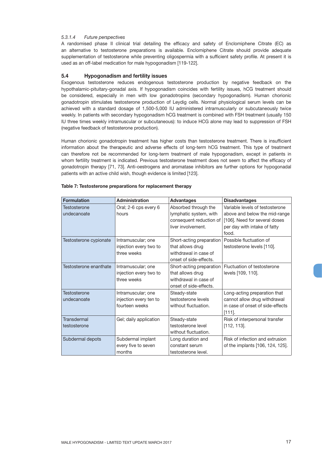#### *5.3.1.4 Future perspectives*

A randomised phase II clinical trial detailing the efficacy and safety of Enclomiphene Citrate (EC) as an alternative to testosterone preparations is available. Enclomiphene Citrate should provide adequate supplementation of testosterone while preventing oligospermia with a sufficient safety profile. At present it is used as an off-label medication for male hypogonadism [119-122].

#### **5.4 Hypogonadism and fertility issues**

Exogenous testosterone reduces endogenous testosterone production by negative feedback on the hypothalamic-pituitary-gonadal axis. If hypogonadism coincides with fertility issues, hCG treatment should be considered, especially in men with low gonadotropins (secondary hypogonadism). Human chorionic gonadotropin stimulates testosterone production of Leydig cells. Normal physiological serum levels can be achieved with a standard dosage of 1,500-5,000 IU administered intramuscularly or subcutaneously twice weekly. In patients with secondary hypogonadism hCG treatment is combined with FSH treatment (usually 150 IU three times weekly intramuscular or subcutaneous): to induce HCG alone may lead to suppression of FSH (negative feedback of testosterone production).

Human chorionic gonadotropin treatment has higher costs than testosterone treatment. There is insufficient information about the therapeutic and adverse effects of long-term hCG treatment. This type of treatment can therefore not be recommended for long-term treatment of male hypogonadism, except in patients in whom fertility treatment is indicated. Previous testosterone treatment does not seem to affect the efficacy of gonadotropin therapy [71, 73]. Anti-oestrogens and aromatase inhibitors are further options for hypogonadal patients with an active child wish, though evidence is limited [123].

| <b>Formulation</b>     | <b>Administration</b>  | <b>Advantages</b>        | <b>Disadvantages</b>             |
|------------------------|------------------------|--------------------------|----------------------------------|
| Testosterone           | Oral; 2-6 cps every 6  | Absorbed through the     | Variable levels of testosterone  |
| undecanoate            | hours                  | lymphatic system, with   | above and below the mid-range    |
|                        |                        | consequent reduction of  | [106]. Need for several doses    |
|                        |                        | liver involvement.       | per day with intake of fatty     |
|                        |                        |                          | food.                            |
| Testosterone cypionate | Intramuscular; one     | Short-acting preparation | Possible fluctuation of          |
|                        | injection every two to | that allows drug         | testosterone levels [110].       |
|                        | three weeks            | withdrawal in case of    |                                  |
|                        |                        | onset of side-effects.   |                                  |
| Testosterone enanthate | Intramuscular; one     | Short-acting preparation | Fluctuation of testosterone      |
|                        | injection every two to | that allows drug         | levels [109, 110].               |
|                        | three weeks            | withdrawal in case of    |                                  |
|                        |                        | onset of side-effects.   |                                  |
| <b>Testosterone</b>    | Intramuscular; one     | Steady-state             | Long-acting preparation that     |
| undecanoate            | injection every ten to | testosterone levels      | cannot allow drug withdrawal     |
|                        | fourteen weeks         | without fluctuation.     | in case of onset of side-effects |
|                        |                        |                          | $[111]$ .                        |
| Transdermal            | Gel; daily application | Steady-state             | Risk of interpersonal transfer   |
| testosterone           |                        | testosterone level       | $[112, 113]$ .                   |
|                        |                        | without fluctuation.     |                                  |
| Subdermal depots       | Subdermal implant      | Long duration and        | Risk of infection and extrusion  |
|                        | every five to seven    | constant serum           | of the implants [106, 124, 125]. |
|                        | months                 | testosterone level.      |                                  |

#### **Table 7: Testosterone preparations for replacement therapy**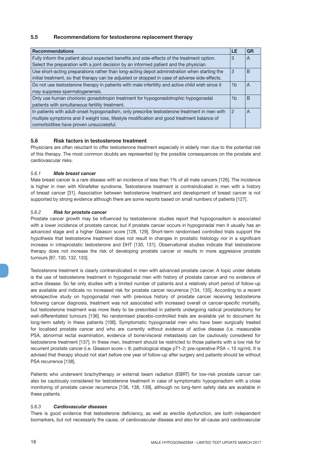#### **5.5 Recommendations for testosterone replacement therapy**

| <b>Recommendations</b>                                                                           | LE             | <b>GR</b> |
|--------------------------------------------------------------------------------------------------|----------------|-----------|
| Fully inform the patient about expected benefits and side-effects of the treatment option.       | 3              | A         |
| Select the preparation with a joint decision by an informed patient and the physician.           |                |           |
| Use short-acting preparations rather than long-acting depot administration when starting the     | 3              | B         |
| initial treatment, so that therapy can be adjusted or stopped in case of adverse side-effects.   |                |           |
| Do not use testosterone therapy in patients with male infertility and active child wish since it | 1 <sub>b</sub> | A         |
| may suppress spermatogenensis.                                                                   |                |           |
| Only use human chorionic gonadotropin treatment for hypogonadotrophic hypogonadal                | 1 <sub>b</sub> | B         |
| patients with simultaneous fertility treatment.                                                  |                |           |
| In patients with adult-onset hypogonadism, only prescribe testosterone treatment in men with     | 2              | A         |
| multiple symptoms and if weight loss, lifestyle modification and good treatment balance of       |                |           |
| comorbidities have proven unsuccessful.                                                          |                |           |

#### **5.6 Risk factors in testosterone treatment**

Physicians are often reluctant to offer testosterone treatment especially in elderly men due to the potential risk of this therapy. The most common doubts are represented by the possible consequences on the prostate and cardiovascular risks.

#### *5.6.1 Male breast cancer*

Male breast cancer is a rare disease with an incidence of less than 1% of all male cancers [126]. The incidence is higher in men with Klinefelter syndrome. Testosterone treatment is contraindicated in men with a history of breast cancer [31]. Association between testosterone treatment and development of breast cancer is not supported by strong evidence although there are some reports based on small numbers of patients [127].

#### *5.6.2 Risk for prostate cancer*

Prostate cancer growth may be influenced by testosterone: studies report that hypogonadism is associated with a lower incidence of prostate cancer, but if prostate cancer occurs in hypogonadal men it usually has an advanced stage and a higher Gleason score [128, 129]. Short-term randomised controlled trials support the hypothesis that testosterone treatment does not result in changes in prostatic histology nor in a significant increase in intraprostatic testosterone and DHT [130, 131]. Observational studies indicate that testosterone therapy does not increase the risk of developing prostate cancer or results in more aggressive prostate tumours [87, 130, 132, 133].

Testosterone treatment is clearly contraindicated in men with advanced prostate cancer. A topic under debate is the use of testosterone treatment in hypogonadal men with history of prostate cancer and no evidence of active disease. So far only studies with a limited number of patients and a relatively short period of follow-up are available and indicate no increased risk for prostate cancer recurrence [134, 135]. According to a recent retrospective study on hypogonadal men with previous history of prostate cancer receiving testosterone following cancer diagnosis, treatment was not associated with increased overall or cancer-specific mortality, but testosterone treatment was more likely to be prescribed in patients undergoing radical prostatectomy for well-differentiated tumours [136]. No randomised placebo-controlled trials are available yet to document its long-term safety in these patients [106]. Symptomatic hypogonadal men who have been surgically treated for localised prostate cancer and who are currently without evidence of active disease (i.e. measurable PSA, abnormal rectal examination, evidence of bone/visceral metastasis) can be cautiously considered for testosterone treatment [137]. In these men, treatment should be restricted to those patients with a low risk for recurrent prostate cancer (i.e. Gleason score < 8; pathological stage pT1-2; pre-operative PSA < 10 ng/ml). It is advised that therapy should not start before one year of follow-up after surgery and patients should be without PSA recurrence [138].

Patients who underwent brachytherapy or external beam radiation (EBRT) for low-risk prostate cancer can also be cautiously considered for testosterone treatment in case of symptomatic hypogonadism with a close monitoring of prostate cancer recurrence [136, 138, 139], although no long-term safety data are available in these patients.

#### *5.6.3 Cardiovascular diseases*

There is good evidence that testosterone deficiency, as well as erectile dysfunction, are both independent biomarkers, but not necessarily the cause, of cardiovascular disease and also for all-cause and cardiovascular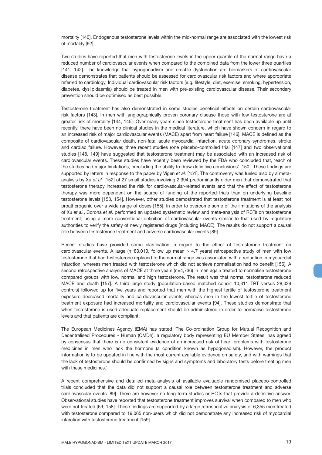mortality [140]. Endogenous testosterone levels within the mid-normal range are associated with the lowest risk of mortality [92].

Two studies have reported that men with testosterone levels in the upper quartile of the normal range have a reduced number of cardiovascular events when compared to the combined data from the lower three quartiles [141, 142]. The knowledge that hypogonadism and erectile dysfunction are biomarkers of cardiovascular disease demonstrates that patients should be assessed for cardiovascular risk factors and where appropriate referred to cardiology. Individual cardiovascular risk factors (e.g. lifestyle, diet, exercise, smoking, hypertension, diabetes, dyslipidaemia) should be treated in men with pre-existing cardiovascular disease. Their secondary prevention should be optimised as best possible.

Testosterone treatment has also demonstrated in some studies beneficial effects on certain cardiovascular risk factors [143]. In men with angiographically proven coronary disease those with low testosterone are at greater risk of mortality [144, 145]. Over many years since testosterone treatment has been available up until recently, there have been no clinical studies in the medical literature, which have shown concern in regard to an increased risk of major cardiovascular events (MACE) apart from heart failure [146]. MACE is defined as the composite of cardiovascular death, non-fatal acute myocardial infarction, acute coronary syndromes, stroke and cardiac failure. However, three recent studies (one placebo-controlled trial [147] and two observational studies [148, 149] have suggested that testosterone treatment may be associated with an increased risk of cardiovascular events. These studies have recently been reviewed by the FDA who concluded that, 'each of the studies had major limitations, precluding the ability to draw definitive conclusions' [150]. These findings are supported by letters in response to the paper by Vigen *et al.* [151]. The controversy was fueled also by a metaanalysis by Xu *et al.* [152] of 27 small studies involving 2,994 predominantly older men that demonstrated that testosterone therapy increased the risk for cardiovascular-related events and that the effect of testosterone therapy was more dependent on the source of funding of the reported trials than on underlying baseline testosterone levels [153, 154]. However, other studies demostrated that testosterone treatment is at least not proatherogenic over a wide range of doses [155]. In order to overcome some of the limitations of the analysis of Xu *et al.*, Corona *et al.* performed an updated systematic review and meta-analysis of RCTs on testosterone treatment, using a more conventional definition of cardiovascular events similar to that used by regulatory authorities to verify the safety of newly registered drugs (including MACE). The results do not support a causal role between testosterone treatment and adverse cardiovascular events [89].

Recent studies have provided some clarification in regard to the effect of testosterone treatment on cardiovascular events. A large (n=83,010, follow up mean > 4.7 years) retrospective study of men with low testosterone that had testosterone replaced to the normal range was associated with a reduction in myocardial infarction, whereas men treated with testosterone which did not achieve normalisation had no benefit [156]. A second retrospective analysis of MACE at three years (n=4,736) in men again treated to normalise testosterone compared groups with low, normal and high testosterone. The result was that normal testosterone reduced MACE and death [157]. A third large study (population-based matched cohort 10,311 TRT versus 28,029 controls) followed up for five years and reported that men with the highest tertile of testosterone treatment exposure decreased mortality and cardiovascular events whereas men in the lowest tertile of testosterone treatment exposure had increased mortality and cardiovascular events [94]. These studies demonstrate that when testosterone is used adequate replacement should be administered in order to normalise testosterone levels and that patients are compliant.

The European Medicines Agency (EMA) has stated 'The Co-ordination Group for Mutual Recognition and Decentralised Procedures - Human (CMDh), a regulatory body representing EU Member States, has agreed by consensus that there is no consistent evidence of an increased risk of heart problems with testosterone medicines in men who lack the hormone (a condition known as hypogonadism). However, the product information is to be updated in line with the most current available evidence on safety, and with warnings that the lack of testosterone should be confirmed by signs and symptoms and laboratory tests before treating men with these medicines.'

A recent comprehensive and detailed meta-analysis of available evaluable randomised placebo-controlled trials concluded that the data did not support a causal role between testosterone treatment and adverse cardiovascular events [89]. There are however no long-term studies or RCTs that provide a definitive answer. Observational studies have reported that testosterone treatment improves survival when compared to men who were not treated [69, 158]. These findings are supported by a large retrospective analysis of 6,355 men treated with testosterone compared to 19,065 non-users which did not demonstrate any increased risk of myocardial infarction with testosterone treatment [159].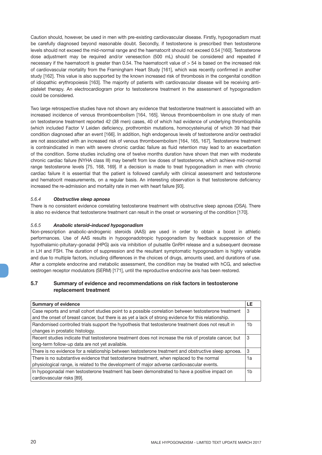Caution should, however, be used in men with pre-existing cardiovascular disease. Firstly, hypogonadism must be carefully diagnosed beyond reasonable doubt. Secondly, if testosterone is prescribed then testosterone levels should not exceed the mid-normal range and the haematocrit should not exceed 0.54 [160]. Testosterone dose adjustment may be required and/or venesection (500 mL) should be considered and repeated if necessary if the haematocrit is greater than 0.54. The haematocrit value of > 54 is based on the increased risk of cardiovascular mortality from the Framingham Heart Study [161], which was recently confirmed in another study [162]. This value is also supported by the known increased risk of thrombosis in the congenital condition of idiopathic erythropoiesis [163]. The majority of patients with cardiovascular disease will be receiving antiplatelet therapy. An electrocardiogram prior to testosterone treatment in the assessment of hypogonadism could be considered.

Two large retrospective studies have not shown any evidence that testosterone treatment is associated with an increased incidence of venous thromboembolism [164, 165]. Venous thromboembolism in one study of men on testosterone treatment reported 42 (38 men) cases, 40 of which had evidence of underlying thrombophilia (which included Factor V Leiden deficiency, prothrombin mutations, homocysteinuria) of which 39 had their condition diagnosed after an event [166]. In addition, high endogenous levels of testosterone and/or oestradiol are not associated with an increased risk of venous thromboembolism [164, 165, 167]. Testosterone treatment is contraindicated in men with severe chronic cardiac failure as fluid retention may lead to an exacerbation of the condition. Some studies including one of twelve months duration have shown that men with moderate chronic cardiac failure (NYHA class III) may benefit from low doses of testosterone, which achieve mid-normal range testosterone levels [75, 168, 169]. If a decision is made to treat hypogonadism in men with chronic cardiac failure it is essential that the patient is followed carefully with clinical assessment and testosterone and hematocrit measurements, on a regular basis. An interesting observation is that testosterone deficiency increased the re-admission and mortality rate in men with heart failure [93].

#### *5.6.4 Obstructive sleep apnoea*

There is no consistent evidence correlating testosterone treatment with obstructive sleep apnoea (OSA). There is also no evidence that testosterone treatment can result in the onset or worsening of the condition [170].

#### *5.6.5 Anabolic steroid–induced hypogonadism*

Non-prescription anabolic-androgenic steroids (AAS) are used in order to obtain a boost in athletic performances. Use of AAS results in hypogonadotropic hypogonadism by feedback suppression of the hypothalamic-pituitary-gonadal (HPG) axis via inhibition of pulsatile GnRH release and a subsequent decrease in LH and FSH. The duration of suppression and the resultant symptomatic hypogonadism is highly variable and due to multiple factors, including differences in the choices of drugs, amounts used, and durations of use. After a complete endocrine and metabolic assessment, the condition may be treated with hCG, and selective oestrogen receptor modulators (SERM) [171], until the reproductive endocrine axis has been restored.

#### **5.7 Summary of evidence and recommendations on risk factors in testosterone replacement treatment**

| <b>Summary of evidence</b>                                                                             | LE |
|--------------------------------------------------------------------------------------------------------|----|
| Case reports and small cohort studies point to a possible correlation between testosterone treatment   | 3  |
| and the onset of breast cancer, but there is as yet a lack of strong evidence for this relationship.   |    |
| Randomised controlled trials support the hypothesis that testosterone treatment does not result in     | 1b |
| changes in prostatic histology.                                                                        |    |
| Recent studies indicate that testosterone treatment does not increase the risk of prostate cancer, but | 3  |
| long-term follow-up data are not yet available.                                                        |    |
| There is no evidence for a relationship between testosterone treatment and obstructive sleep apnoea.   | 3  |
| There is no substantive evidence that testosterone treatment, when replaced to the normal              | 1a |
| physiological range, is related to the development of major adverse cardiovascular events.             |    |
| In hypogonadal men testosterone treatment has been demonstrated to have a positive impact on           | 1b |
| cardiovascular risks [89].                                                                             |    |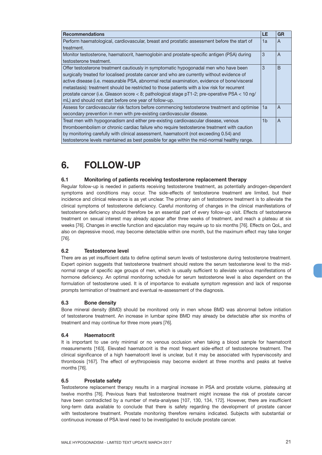| <b>Recommendations</b>                                                                           | LE             | <b>GR</b>      |
|--------------------------------------------------------------------------------------------------|----------------|----------------|
| Perform haematological, cardiovascular, breast and prostatic assessment before the start of      | 1a             | A              |
| treatment.                                                                                       |                |                |
| Monitor testosterone, haematocrit, haemoglobin and prostate-specific antigen (PSA) during        | 3              | A              |
| testosterone treatment.                                                                          |                |                |
| Offer testosterone treatment cautiously in symptomatic hypogonadal men who have been             | 3              | B              |
| surgically treated for localised prostate cancer and who are currently without evidence of       |                |                |
| active disease (i.e. measurable PSA, abnormal rectal examination, evidence of bone/visceral      |                |                |
| metastasis): treatment should be restricted to those patients with a low risk for recurrent      |                |                |
| prostate cancer (i.e. Gleason score < 8; pathological stage $pT1-2$ ; pre-operative PSA < 10 ng/ |                |                |
| mL) and should not start before one year of follow-up.                                           |                |                |
| Assess for cardiovascular risk factors before commencing testosterone treatment and optimise     | 1a             | A              |
| secondary prevention in men with pre-existing cardiovascular disease.                            |                |                |
| Treat men with hypogonadism and either pre-existing cardiovascular disease, venous               | 1 <sub>b</sub> | $\overline{A}$ |
| thromboembolism or chronic cardiac failure who require testosterone treatment with caution       |                |                |
| by monitoring carefully with clinical assessment, haematocrit (not exceeding 0.54) and           |                |                |
| testosterone levels maintained as best possible for age within the mid-normal healthy range.     |                |                |

## **6. FOLLOW-UP**

#### **6.1 Monitoring of patients receiving testosterone replacement therapy**

Regular follow-up is needed in patients receiving testosterone treatment, as potentially androgen-dependent symptoms and conditions may occur. The side-effects of testosterone treatment are limited, but their incidence and clinical relevance is as yet unclear. The primary aim of testosterone treatment is to alleviate the clinical symptoms of testosterone deficiency. Careful monitoring of changes in the clinical manifestations of testosterone deficiency should therefore be an essential part of every follow-up visit. Effects of testosterone treatment on sexual interest may already appear after three weeks of treatment, and reach a plateau at six weeks [76]. Changes in erectile function and ejaculation may require up to six months [76]. Effects on QoL, and also on depressive mood, may become detectable within one month, but the maximum effect may take longer [76].

#### **6.2 Testosterone level**

There are as yet insufficient data to define optimal serum levels of testosterone during testosterone treatment. Expert opinion suggests that testosterone treatment should restore the serum testosterone level to the midnormal range of specific age groups of men, which is usually sufficient to alleviate various manifestations of hormone deficiency. An optimal monitoring schedule for serum testosterone level is also dependent on the formulation of testosterone used. It is of importance to evaluate symptom regression and lack of response prompts termination of treatment and eventual re-assessment of the diagnosis.

#### **6.3 Bone density**

Bone mineral density (BMD) should be monitored only in men whose BMD was abnormal before initiation of testosterone treatment. An increase in lumbar spine BMD may already be detectable after six months of treatment and may continue for three more years [76].

#### **6.4 Haematocrit**

It is important to use only minimal or no venous occlusion when taking a blood sample for haematocrit measurements [163]. Elevated haematocrit is the most frequent side-effect of testosterone treatment. The clinical significance of a high haematocrit level is unclear, but it may be associated with hyperviscosity and thrombosis [167]. The effect of erythropoiesis may become evident at three months and peaks at twelve months [76].

#### **6.5 Prostate safety**

Testosterone replacement therapy results in a marginal increase in PSA and prostate volume, plateauing at twelve months [76]. Previous fears that testosterone treatment might increase the risk of prostate cancer have been contradicted by a number of meta-analyses [107, 130, 134, 172]. However, there are insufficient long-term data available to conclude that there is safety regarding the development of prostate cancer with testosterone treatment. Prostate monitoring therefore remains indicated. Subjects with substantial or continuous increase of PSA level need to be investigated to exclude prostate cancer.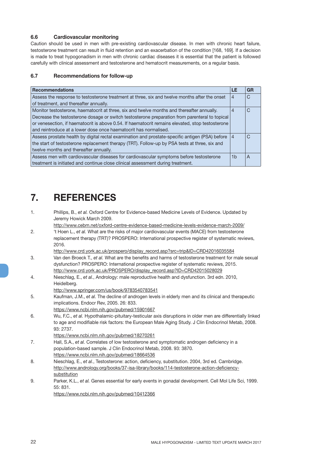#### **6.6 Cardiovascular monitoring**

Caution should be used in men with pre-existing cardiovascular disease. In men with chronic heart failure, testosterone treatment can result in fluid retention and an exacerbation of the condition [168, 169]. If a decision is made to treat hypogonadism in men with chronic cardiac diseases it is essential that the patient is followed carefully with clinical assessment and testosterone and hematocrit measurements, on a regular basis.

#### **6.7 Recommendations for follow-up**

| Recommendations                                                                                  | LE             | <b>GR</b> |
|--------------------------------------------------------------------------------------------------|----------------|-----------|
| Assess the response to testosterone treatment at three, six and twelve months after the onset    | 4              | C         |
| of treatment, and thereafter annually.                                                           |                |           |
| Monitor testosterone, haematocrit at three, six and twelve months and thereafter annually.       | 4              | C         |
| Decrease the testosterone dosage or switch testosterone preparation from parenteral to topical   |                |           |
| or venesection, if haematocrit is above 0.54. If haematocrit remains elevated, stop testosterone |                |           |
| and reintroduce at a lower dose once haematocrit has normalised.                                 |                |           |
| Assess prostate health by digital rectal examination and prostate-specific antigen (PSA) before  | $\overline{4}$ | C         |
| the start of testosterone replacement therapy (TRT). Follow-up by PSA tests at three, six and    |                |           |
| twelve months and thereafter annually.                                                           |                |           |
| Assess men with cardiovascular diseases for cardiovascular symptoms before testosterone          | 1 <sub>b</sub> | A         |
| treatment is initiated and continue close clinical assessment during treatment.                  |                |           |

## **7. REFERENCES**

1. Phillips, B., *et al.* Oxford Centre for Evidence-based Medicine Levels of Evidence. Updated by Jeremy Howick March 2009.

http://www.cebm.net/oxford-centre-evidence-based-medicine-levels-evidence-march-2009/

2. 't Hoen L., *et al.* What are the risks of major cardiovascular events (MACE) from testosterone replacement therapy (TRT)? PROSPERO: International prospective register of systematic reviews, 2016.

http://www.crd.york.ac.uk/prospero/display\_record.asp?src=trip&ID=CRD42016035584

- 3. Van den Broeck T., *et al.* What are the benefits and harms of testosterone treatment for male sexual dysfunction? PROSPERO: International prospective register of systematic reviews, 2015. http://www.crd.york.ac.uk/PROSPERO/display\_record.asp?ID=CRD42015028029
- 4. Nieschlag, E., *et al.*, Andrology: male reproductive health and dysfunction. 3rd edn. 2010, Heidelberg.
	- http://www.springer.com/us/book/9783540783541
- 5. Kaufman, J.M., *et al.* The decline of androgen levels in elderly men and its clinical and therapeutic implications. Endocr Rev, 2005. 26: 833.

https://www.ncbi.nlm.nih.gov/pubmed/15901667

- 6. Wu, F.C., *et al.* Hypothalamic-pituitary-testicular axis disruptions in older men are differentially linked to age and modifiable risk factors: the European Male Aging Study. J Clin Endocrinol Metab, 2008. 93: 2737.
	- https://www.ncbi.nlm.nih.gov/pubmed/18270261
- 7. Hall, S.A., *et al.* Correlates of low testosterone and symptomatic androgen deficiency in a population-based sample. J Clin Endocrinol Metab, 2008. 93: 3870. https://www.ncbi.nlm.nih.gov/pubmed/18664536
- 8. Nieschlag, E., *et al.*, Testosterone: action, deficiency, substitution. 2004, 3rd ed. Cambridge. http://www.andrology.org/books/37-isa-library/books/114-testosterone-action-deficiencysubstitution
- 9. Parker, K.L., *et al.* Genes essential for early events in gonadal development. Cell Mol Life Sci, 1999. 55: 831.

https://www.ncbi.nlm.nih.gov/pubmed/10412366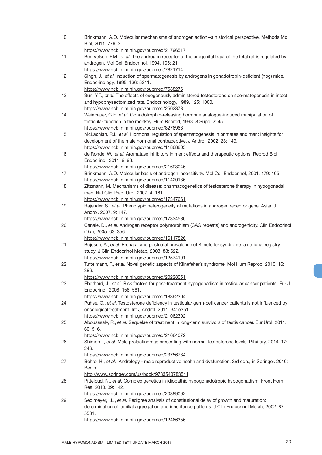| 10. | Brinkmann, A.O. Molecular mechanisms of androgen action--a historical perspective. Methods Mol<br>Biol, 2011. 776: 3. |
|-----|-----------------------------------------------------------------------------------------------------------------------|
|     | https://www.ncbi.nlm.nih.gov/pubmed/21796517                                                                          |
| 11. | Bentvelsen, F.M., et al. The androgen receptor of the urogenital tract of the fetal rat is regulated by               |
|     | androgen. Mol Cell Endocrinol, 1994. 105: 21.                                                                         |
|     | https://www.ncbi.nlm.nih.gov/pubmed/7821714                                                                           |
| 12. | Singh, J., et al. Induction of spermatogenesis by androgens in gonadotropin-deficient (hpg) mice.                     |
|     | Endocrinology, 1995. 136: 5311.                                                                                       |
|     | https://www.ncbi.nlm.nih.gov/pubmed/7588276                                                                           |
| 13. | Sun, Y.T., et al. The effects of exogenously administered testosterone on spermatogenesis in intact                   |
|     | and hypophysectomized rats. Endocrinology, 1989. 125: 1000.                                                           |
|     | https://www.ncbi.nlm.nih.gov/pubmed/2502373                                                                           |
|     | Weinbauer, G.F., et al. Gonadotrophin-releasing hormone analogue-induced manipulation of                              |
| 14. |                                                                                                                       |
|     | testicular function in the monkey. Hum Reprod, 1993. 8 Suppl 2: 45.                                                   |
|     | https://www.ncbi.nlm.nih.gov/pubmed/8276968                                                                           |
| 15. | McLachlan, R.I., et al. Hormonal regulation of spermatogenesis in primates and man: insights for                      |
|     | development of the male hormonal contraceptive. J Androl, 2002. 23: 149.                                              |
|     | https://www.ncbi.nlm.nih.gov/pubmed/11868805                                                                          |
| 16. | de Ronde, W., et al. Aromatase inhibitors in men: effects and therapeutic options. Reprod Biol                        |
|     | Endocrinol, 2011. 9: 93.                                                                                              |
|     | https://www.ncbi.nlm.nih.gov/pubmed/21693046                                                                          |
| 17. | Brinkmann, A.O. Molecular basis of androgen insensitivity. Mol Cell Endocrinol, 2001. 179: 105.                       |
|     | https://www.ncbi.nlm.nih.gov/pubmed/11420135                                                                          |
| 18. | Zitzmann, M. Mechanisms of disease: pharmacogenetics of testosterone therapy in hypogonadal                           |
|     | men. Nat Clin Pract Urol, 2007. 4: 161.                                                                               |
|     | https://www.ncbi.nlm.nih.gov/pubmed/17347661                                                                          |
| 19. | Rajender, S., et al. Phenotypic heterogeneity of mutations in androgen receptor gene. Asian J                         |
|     | Androl, 2007. 9: 147.                                                                                                 |
|     | https://www.ncbi.nlm.nih.gov/pubmed/17334586                                                                          |
| 20. | Canale, D., et al. Androgen receptor polymorphism (CAG repeats) and androgenicity. Clin Endocrinol                    |
|     | (Oxf), 2005. 63: 356.                                                                                                 |
|     | https://www.ncbi.nlm.nih.gov/pubmed/16117826                                                                          |
| 21. | Bojesen, A., et al. Prenatal and postnatal prevalence of Klinefelter syndrome: a national registry                    |
|     | study. J Clin Endocrinol Metab, 2003. 88: 622.                                                                        |
|     | https://www.ncbi.nlm.nih.gov/pubmed/12574191                                                                          |
| 22. | Tuttelmann, F., et al. Novel genetic aspects of Klinefelter's syndrome. Mol Hum Reprod, 2010. 16:                     |
|     | 386.                                                                                                                  |
|     | https://www.ncbi.nlm.nih.gov/pubmed/20228051                                                                          |
| 23. | Eberhard, J., et al. Risk factors for post-treatment hypogonadism in testicular cancer patients. Eur J                |
|     | Endocrinol, 2008. 158: 561.                                                                                           |
|     | https://www.ncbi.nlm.nih.gov/pubmed/18362304                                                                          |
| 24. | Puhse, G., et al. Testosterone deficiency in testicular germ-cell cancer patients is not influenced by                |
|     | oncological treatment. Int J Androl, 2011. 34: e351.                                                                  |
|     | https://www.ncbi.nlm.nih.gov/pubmed/21062302                                                                          |
| 25. | Abouassaly, R., et al. Sequelae of treatment in long-term survivors of testis cancer. Eur Urol, 2011.                 |
|     | 60:516.                                                                                                               |
|     | https://www.ncbi.nlm.nih.gov/pubmed/21684072                                                                          |
| 26. | Shimon I., et al. Male prolactinomas presenting with normal testosterone levels. Pituitary, 2014. 17:                 |
|     | 246.                                                                                                                  |
|     | https://www.ncbi.nlm.nih.gov/pubmed/23756784                                                                          |
| 27. | Behre, H., et al., Andrology - male reproductive health and dysfunction. 3rd edn., in Springer. 2010:                 |
|     | Berlin.                                                                                                               |
|     |                                                                                                                       |
|     | http://www.springer.com/us/book/9783540783541                                                                         |
| 28. | Pitteloud, N., et al. Complex genetics in idiopathic hypogonadotropic hypogonadism. Front Horm                        |
|     | Res, 2010. 39: 142.                                                                                                   |
|     | https://www.ncbi.nlm.nih.gov/pubmed/20389092                                                                          |
| 29. | Sedlmeyer, I.L., et al. Pedigree analysis of constitutional delay of growth and maturation:                           |
|     | determination of familial aggregation and inheritance patterns. J Clin Endocrinol Metab, 2002. 87:                    |
|     | 5581.                                                                                                                 |
|     | https://www.ncbi.nlm.nih.gov/pubmed/12466356                                                                          |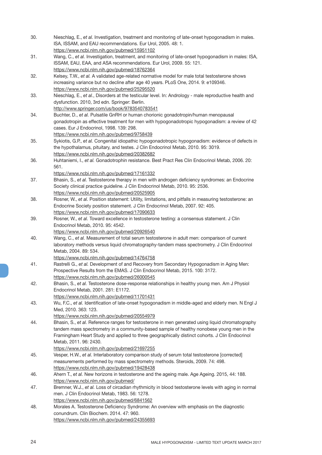- 30. Nieschlag, E., *et al.* Investigation, treatment and monitoring of late-onset hypogonadism in males. ISA, ISSAM, and EAU recommendations. Eur Urol, 2005. 48: 1. https://www.ncbi.nlm.nih.gov/pubmed/15951102
- 31. Wang, C., *et al.* Investigation, treatment, and monitoring of late-onset hypogonadism in males: ISA, ISSAM, EAU, EAA, and ASA recommendations. Eur Urol, 2009. 55: 121. https://www.ncbi.nlm.nih.gov/pubmed/18762364
- 32. Kelsey, T.W., *et al.* A validated age-related normative model for male total testosterone shows increasing variance but no decline after age 40 years. PLoS One, 2014. 9: e109346. https://www.ncbi.nlm.nih.gov/pubmed/25295520
- 33. Nieschlag, E., *et al.*, Disorders at the testicular level. In: Andrology male reproductive health and dysfunction. 2010, 3rd edn. Springer: Berlin. http://www.springer.com/us/book/9783540783541
- 34. Buchter, D., *et al.* Pulsatile GnRH or human chorionic gonadotropin/human menopausal gonadotropin as effective treatment for men with hypogonadotropic hypogonadism: a review of 42 cases. Eur J Endocrinol, 1998. 139: 298.

https://www.ncbi.nlm.nih.gov/pubmed/9758439

- 35. Sykiotis, G.P., *et al.* Congenital idiopathic hypogonadotropic hypogonadism: evidence of defects in the hypothalamus, pituitary, and testes. J Clin Endocrinol Metab, 2010. 95: 3019. https://www.ncbi.nlm.nih.gov/pubmed/20382682
- 36. Huhtaniemi, I., *et al.* Gonadotrophin resistance. Best Pract Res Clin Endocrinol Metab, 2006. 20: 561.

https://www.ncbi.nlm.nih.gov/pubmed/17161332

- 37. Bhasin, S., *et al.* Testosterone therapy in men with androgen deficiency syndromes: an Endocrine Society clinical practice guideline. J Clin Endocrinol Metab, 2010. 95: 2536. https://www.ncbi.nlm.nih.gov/pubmed/20525905
- 38. Rosner, W., *et al.* Position statement: Utility, limitations, and pitfalls in measuring testosterone: an Endocrine Society position statement. J Clin Endocrinol Metab, 2007. 92: 405. https://www.ncbi.nlm.nih.gov/pubmed/17090633
- 39. Rosner, W., *et al.* Toward excellence in testosterone testing: a consensus statement. J Clin Endocrinol Metab, 2010. 95: 4542.
	- https://www.ncbi.nlm.nih.gov/pubmed/20926540
- 40. Wang, C., *et al.* Measurement of total serum testosterone in adult men: comparison of current laboratory methods versus liquid chromatography-tandem mass spectrometry. J Clin Endocrinol Metab, 2004. 89: 534.

https://www.ncbi.nlm.nih.gov/pubmed/14764758

- 41. Rastrelli G., *et al.* Development of and Recovery from Secondary Hypogonadism in Aging Men: Prospective Results from the EMAS. J Clin Endocrinol Metab, 2015. 100: 3172. https://www.ncbi.nlm.nih.gov/pubmed/26000545
- 42. Bhasin, S., *et al.* Testosterone dose-response relationships in healthy young men. Am J Physiol Endocrinol Metab, 2001. 281: E1172.
- https://www.ncbi.nlm.nih.gov/pubmed/11701431
- 43. Wu, F.C., *et al.* Identification of late-onset hypogonadism in middle-aged and elderly men. N Engl J Med, 2010. 363: 123.

https://www.ncbi.nlm.nih.gov/pubmed/20554979

44. Bhasin, S., *et al.* Reference ranges for testosterone in men generated using liquid chromatography tandem mass spectrometry in a community-based sample of healthy nonobese young men in the Framingham Heart Study and applied to three geographically distinct cohorts. J Clin Endocrinol Metab, 2011. 96: 2430.

https://www.ncbi.nlm.nih.gov/pubmed/21697255

- 45. Vesper, H.W., *et al.* Interlaboratory comparison study of serum total testosterone [corrected] measurements performed by mass spectrometry methods. Steroids, 2009. 74: 498. https://www.ncbi.nlm.nih.gov/pubmed/19428438
- 46. Ahern T., *et al.* New horizons in testosterone and the ageing male. Age Ageing. 2015, 44: 188. https://www.ncbi.nlm.nih.gov/pubmed/
- 47. Bremner, W.J., *et al.* Loss of circadian rhythmicity in blood testosterone levels with aging in normal men. J Clin Endocrinol Metab, 1983. 56: 1278. https://www.ncbi.nlm.nih.gov/pubmed/6841562
- 48. Morales A. Testosterone Deficiency Syndrome: An overview with emphasis on the diagnostic conundrum. Clin Biochem. 2014. 47: 960. https://www.ncbi.nlm.nih.gov/pubmed/24355693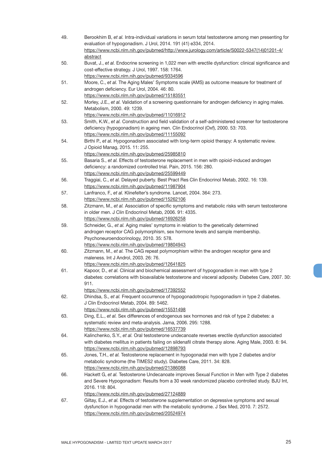| 49. | Berookhim B, et al. Intra-individual variations in serum total testosterone among men presenting for<br>evaluation of hypogonadism. J Urol, 2014. 191 (41) e334, 2014. |
|-----|------------------------------------------------------------------------------------------------------------------------------------------------------------------------|
|     | https://www.ncbi.nlm.nih.gov/pubmed/http://www.jurology.com/article/S0022-5347(14)01201-4/                                                                             |
|     | abstract                                                                                                                                                               |
| 50. | Buvat, J., et al. Endocrine screening in 1,022 men with erectile dysfunction: clinical significance and                                                                |
|     | cost-effective strategy. J Urol, 1997. 158: 1764.                                                                                                                      |
|     | https://www.ncbi.nlm.nih.gov/pubmed/9334596                                                                                                                            |
| 51. | Moore, C., et al. The Aging Males' Symptoms scale (AMS) as outcome measure for treatment of                                                                            |
|     | androgen deficiency. Eur Urol, 2004. 46: 80.                                                                                                                           |
|     | https://www.ncbi.nlm.nih.gov/pubmed/15183551                                                                                                                           |
| 52. | Morley, J.E., et al. Validation of a screening questionnaire for androgen deficiency in aging males.                                                                   |
|     | Metabolism, 2000. 49: 1239.                                                                                                                                            |
|     | https://www.ncbi.nlm.nih.gov/pubmed/11016912                                                                                                                           |
| 53. | Smith, K.W., et al. Construction and field validation of a self-administered screener for testosterone                                                                 |
|     | deficiency (hypogonadism) in ageing men. Clin Endocrinol (Oxf), 2000. 53: 703.                                                                                         |
|     | https://www.ncbi.nlm.nih.gov/pubmed/11155092                                                                                                                           |
| 54. | Birthi P., et al. Hypogonadism associated with long-term opioid therapy: A systematic review.                                                                          |
|     | J Opioid Manag, 2015. 11: 255.                                                                                                                                         |
|     | https://www.ncbi.nlm.nih.gov/pubmed/25985810                                                                                                                           |
| 55. | Basaria S., et al. Effects of testosterone replacement in men with opioid-induced androgen                                                                             |
|     | deficiency: a randomized controlled trial. Pain, 2015. 156: 280.                                                                                                       |
|     | https://www.ncbi.nlm.nih.gov/pubmed/25599449                                                                                                                           |
| 56. | Traggiai, C., et al. Delayed puberty. Best Pract Res Clin Endocrinol Metab, 2002. 16: 139.                                                                             |
|     | https://www.ncbi.nlm.nih.gov/pubmed/11987904                                                                                                                           |
| 57. | Lanfranco, F., et al. Klinefelter's syndrome. Lancet, 2004. 364: 273.                                                                                                  |
|     | https://www.ncbi.nlm.nih.gov/pubmed/15262106                                                                                                                           |
| 58. | Zitzmann, M., et al. Association of specific symptoms and metabolic risks with serum testosterone                                                                      |
|     | in older men. J Clin Endocrinol Metab, 2006. 91: 4335.                                                                                                                 |
|     | https://www.ncbi.nlm.nih.gov/pubmed/16926258                                                                                                                           |
| 59. | Schneider, G., et al. Aging males' symptoms in relation to the genetically determined                                                                                  |
|     | androgen receptor CAG polymorphism, sex hormone levels and sample membership.                                                                                          |
|     | Psychoneuroendocrinology, 2010. 35: 578.                                                                                                                               |
| 60. | https://www.ncbi.nlm.nih.gov/pubmed/19804943<br>Zitzmann, M., et al. The CAG repeat polymorphism within the androgen receptor gene and                                 |
|     | maleness. Int J Androl, 2003. 26: 76.                                                                                                                                  |
|     | https://www.ncbi.nlm.nih.gov/pubmed/12641825                                                                                                                           |
| 61. | Kapoor, D., et al. Clinical and biochemical assessment of hypogonadism in men with type 2                                                                              |
|     | diabetes: correlations with bioavailable testosterone and visceral adiposity. Diabetes Care, 2007. 30:                                                                 |
|     | 911.                                                                                                                                                                   |
|     | https://www.ncbi.nlm.nih.gov/pubmed/17392552                                                                                                                           |
| 62. | Dhindsa, S., et al. Frequent occurrence of hypogonadotropic hypogonadism in type 2 diabetes.                                                                           |
|     | J Clin Endocrinol Metab, 2004. 89: 5462.                                                                                                                               |
|     | https://www.ncbi.nlm.nih.gov/pubmed/15531498                                                                                                                           |
| 63. | Ding, E.L., et al. Sex differences of endogenous sex hormones and risk of type 2 diabetes: a                                                                           |
|     | systematic review and meta-analysis. Jama, 2006. 295: 1288.                                                                                                            |
|     | https://www.ncbi.nlm.nih.gov/pubmed/16537739                                                                                                                           |
| 64. | Kalinchenko, S.Y., et al. Oral testosterone undecanoate reverses erectile dysfunction associated                                                                       |
|     | with diabetes mellitus in patients failing on sildenafil citrate therapy alone. Aging Male, 2003. 6: 94.                                                               |
|     | https://www.ncbi.nlm.nih.gov/pubmed/12898793                                                                                                                           |
| 65. | Jones, T.H., et al. Testosterone replacement in hypogonadal men with type 2 diabetes and/or                                                                            |
|     | metabolic syndrome (the TIMES2 study). Diabetes Care, 2011. 34: 828.                                                                                                   |
|     | https://www.ncbi.nlm.nih.gov/pubmed/21386088                                                                                                                           |
| 66. | Hackett G, et al. Testosterone Undecanoate improves Sexual Function in Men with Type 2 diabetes                                                                        |
|     | and Severe Hypogonadism: Results from a 30 week randomized placebo controlled study. BJU Int,                                                                          |
|     | 2016. 118: 804.                                                                                                                                                        |
|     | https://www.ncbi.nlm.nih.gov/pubmed/27124889                                                                                                                           |
| 67. | Giltay, E.J., et al. Effects of testosterone supplementation on depressive symptoms and sexual                                                                         |
|     | dysfunction in hypogonadal men with the metabolic syndrome. J Sex Med, 2010. 7: 2572.                                                                                  |
|     | https://www.ncbi.nlm.nih.gov/pubmed/20524974                                                                                                                           |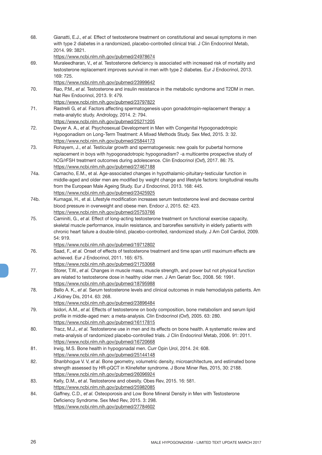68. Gianatti, E.J., *et al.* Effect of testosterone treatment on constitutional and sexual symptoms in men with type 2 diabetes in a randomized, placebo-controlled clinical trial. J Clin Endocrinol Metab, 2014. 99: 3821. https://www.ncbi.nlm.nih.gov/pubmed/24978674 69. Muraleedharan, V., *et al.* Testosterone deficiency is associated with increased risk of mortality and testosterone replacement improves survival in men with type 2 diabetes. Eur J Endocrinol, 2013. 169: 725. https://www.ncbi.nlm.nih.gov/pubmed/23999642 70. Rao, P.M., *et al.* Testosterone and insulin resistance in the metabolic syndrome and T2DM in men. Nat Rev Endocrinol, 2013. 9: 479. https://www.ncbi.nlm.nih.gov/pubmed/23797822 71. Rastrelli G, *et al.* Factors affecting spermatogenesis upon gonadotropin-replacement therapy: a meta-analytic study. Andrology, 2014. 2: 794. https://www.ncbi.nlm.nih.gov/pubmed/25271205 72. Dwyer A. A., *et al.* Psychosexual Development in Men with Congenital Hypogonadotropic Hypogonadism on Long-Term Treatment: A Mixed Methods Study. Sex Med, 2015. 3: 32. https://www.ncbi.nlm.nih.gov/pubmed/25844173 73. Rohayem, J., *et al.* Testicular growth and spermatogenesis: new goals for pubertal hormone replacement in boys with hypogonadotropic hypogonadism? -a multicentre prospective study of hCG/rFSH treatment outcomes during adolescence. Clin Endocrinol (Oxf), 2017. 86: 75. https://www.ncbi.nlm.nih.gov/pubmed/27467188 74a. Camacho, E.M., et al. Age-associated changes in hypothalamic-pituitary-testicular function in middle-aged and older men are modified by weight change and lifestyle factors: longitudinal results from the European Male Ageing Study. Eur J Endocrinol, 2013. 168: 445. https://www.ncbi.nlm.nih.gov/pubmed/23425925 74b. Kumagai, H., et al. Lifestyle modification increases serum testosterone level and decrease central blood pressure in overweight and obese men. Endocr J, 2015. 62: 423. https://www.ncbi.nlm.nih.gov/pubmed/25753766 75. Caminiti, G., *et al.* Effect of long-acting testosterone treatment on functional exercise capacity, skeletal muscle performance, insulin resistance, and baroreflex sensitivity in elderly patients with chronic heart failure a double-blind, placebo-controlled, randomized study. J Am Coll Cardiol, 2009. 54: 919. https://www.ncbi.nlm.nih.gov/pubmed/19712802 76. Saad, F., *et al.* Onset of effects of testosterone treatment and time span until maximum effects are achieved. Eur J Endocrinol, 2011. 165: 675. https://www.ncbi.nlm.nih.gov/pubmed/21753068 77. Storer, T.W., *et al.* Changes in muscle mass, muscle strength, and power but not physical function are related to testosterone dose in healthy older men. J Am Geriatr Soc, 2008. 56: 1991. https://www.ncbi.nlm.nih.gov/pubmed/18795988 78. Bello A. K., *et al.* Serum testosterone levels and clinical outcomes in male hemodialysis patients. Am J Kidney Dis, 2014. 63: 268. https://www.ncbi.nlm.nih.gov/pubmed/23896484 79. Isidori, A.M., *et al.* Effects of testosterone on body composition, bone metabolism and serum lipid profile in middle-aged men: a meta-analysis. Clin Endocrinol (Oxf), 2005. 63: 280. https://www.ncbi.nlm.nih.gov/pubmed/16117815 80. Tracz, M.J., *et al.* Testosterone use in men and its effects on bone health. A systematic review and meta-analysis of randomized placebo-controlled trials. J Clin Endocrinol Metab, 2006. 91: 2011. https://www.ncbi.nlm.nih.gov/pubmed/16720668 81. Irwig, M.S. Bone health in hypogonadal men. Curr Opin Urol, 2014. 24: 608. https://www.ncbi.nlm.nih.gov/pubmed/25144148 82. Shanbhogue V. V, *et al.* Bone geometry, volumetric density, microarchitecture, and estimated bone strength assessed by HR-pQCT in Klinefelter syndrome. J Bone Miner Res, 2015, 30: 2188. https://www.ncbi.nlm.nih.gov/pubmed/26096924 83. Kelly, D.M., *et al.* Testosterone and obesity. Obes Rev, 2015. 16: 581. https://www.ncbi.nlm.nih.gov/pubmed/25982085 84. Gaffney, C.D., *et al.* Osteoporosis and Low Bone Mineral Density in Men with Testosterone Deficiency Syndrome. Sex Med Rev, 2015. 3: 298. https://www.ncbi.nlm.nih.gov/pubmed/27784602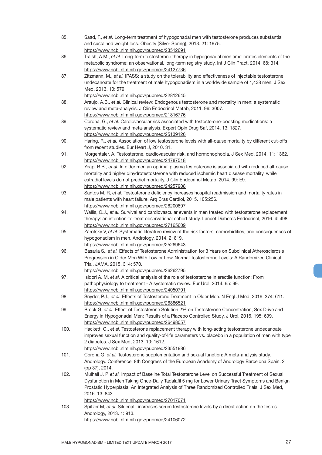85. Saad, F., *et al.* Long-term treatment of hypogonadal men with testosterone produces substantial and sustained weight loss. Obesity (Silver Spring), 2013. 21: 1975. https://www.ncbi.nlm.nih.gov/pubmed/23512691 86. Traish, A.M., *et al.* Long-term testosterone therapy in hypogonadal men ameliorates elements of the metabolic syndrome: an observational, long-term registry study. Int J Clin Pract, 2014. 68: 314. https://www.ncbi.nlm.nih.gov/pubmed/24127736 87. Zitzmann, M., *et al.* IPASS: a study on the tolerability and effectiveness of injectable testosterone undecanoate for the treatment of male hypogonadism in a worldwide sample of 1,438 men. J Sex Med, 2013. 10: 579. https://www.ncbi.nlm.nih.gov/pubmed/22812645 88. Araujo, A.B., *et al.* Clinical review: Endogenous testosterone and mortality in men: a systematic review and meta-analysis. J Clin Endocrinol Metab, 2011. 96: 3007. https://www.ncbi.nlm.nih.gov/pubmed/21816776 89. Corona, G., *et al.* Cardiovascular risk associated with testosterone-boosting medications: a systematic review and meta-analysis. Expert Opin Drug Saf, 2014. 13: 1327. https://www.ncbi.nlm.nih.gov/pubmed/25139126 90. Haring, R., *et al.* Association of low testosterone levels with all-cause mortality by different cut-offs from recent studies. Eur Heart J, 2010. 31. 91. Morgentaler, A. Testosterone, cardiovascular risk, and hormonophobia. J Sex Med, 2014. 11: 1362. https://www.ncbi.nlm.nih.gov/pubmed/24787518 92. Yeap, B.B., *et al.* In older men an optimal plasma testosterone is associated with reduced all-cause mortality and higher dihydrotestosterone with reduced ischemic heart disease mortality, while estradiol levels do not predict mortality. J Clin Endocrinol Metab, 2014. 99: E9. https://www.ncbi.nlm.nih.gov/pubmed/24257908 93. Santos M. R, *et al.* Testosterone deficiency increases hospital readmission and mortality rates in male patients with heart failure. Arq Bras Cardiol, 2015. 105:256. https://www.ncbi.nlm.nih.gov/pubmed/26200897 94. Wallis, C.J., *et al.* Survival and cardiovascular events in men treated with testosterone replacement therapy: an intention-to-treat observational cohort study. Lancet Diabetes Endocrinol, 2016. 4: 498. https://www.ncbi.nlm.nih.gov/pubmed/27165609 95. Zarotsky V, *et al.* Systematic literature review of the risk factors, comorbidities, and consequences of hypogonadism in men. Andrology, 2014. 2: 819. https://www.ncbi.nlm.nih.gov/pubmed/25269643 96. Basaria S., *et al.* Effects of Testosterone Administration for 3 Years on Subclinical Atherosclerosis Progression in Older Men With Low or Low-Normal Testosterone Levels: A Randomized Clinical Trial. JAMA, 2015. 314: 570. https://www.ncbi.nlm.nih.gov/pubmed/26262795 97. Isidori A. M, *et al.* A critical analysis of the role of testosterone in erectile function: From pathophysiology to treatment - A systematic review. Eur Urol, 2014. 65: 99. https://www.ncbi.nlm.nih.gov/pubmed/24050791 98. Snyder, P.J., *et al.* Effects of Testosterone Treatment in Older Men. N Engl J Med, 2016. 374: 611. https://www.ncbi.nlm.nih.gov/pubmed/26886521 99. Brock G, *et al.* Effect of Testosterone Solution 2% on Testosterone Concentration, Sex Drive and Energy in Hypogonadal Men: Results of a Placebo Controlled Study. J Urol, 2016. 195: 699. https://www.ncbi.nlm.nih.gov/pubmed/26498057 100. Hackett, G., *et al.* Testosterone replacement therapy with long-acting testosterone undecanoate improves sexual function and quality-of-life parameters vs. placebo in a population of men with type 2 diabetes. J Sex Med, 2013. 10: 1612. https://www.ncbi.nlm.nih.gov/pubmed/23551886 101. Corona G, *et al.* Testosterone supplementation and sexual function: A meta-analysis study. Andrology. Conference: 8th Congress of the European Academy of Andrology Barcelona Spain. 2 (pp 37), 2014. 102. Mulhall J. P, *et al.* Impact of Baseline Total Testosterone Level on Successful Treatment of Sexual Dysfunction in Men Taking Once-Daily Tadalafil 5 mg for Lower Urinary Tract Symptoms and Benign Prostatic Hyperplasia: An Integrated Analysis of Three Randomized Controlled Trials. J Sex Med, 2016. 13: 843. https://www.ncbi.nlm.nih.gov/pubmed/27017071 103. Spitzer M, *et al.* Sildenafil increases serum testosterone levels by a direct action on the testes. Andrology, 2013. 1: 913. https://www.ncbi.nlm.nih.gov/pubmed/24106072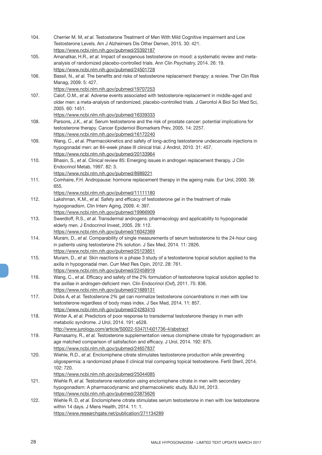| 104. | Cherrier M. M, et al. Testosterone Treatment of Men With Mild Cognitive Impairment and Low              |
|------|---------------------------------------------------------------------------------------------------------|
|      | Testosterone Levels. Am J Alzheimers Dis Other Demen, 2015. 30: 421.                                    |
|      | https://www.ncbi.nlm.nih.gov/pubmed/25392187                                                            |
| 105. | Amanatkar, H.R., et al. Impact of exogenous testosterone on mood: a systematic review and meta-         |
|      | analysis of randomized placebo-controlled trials. Ann Clin Psychiatry, 2014. 26: 19.                    |
|      | https://www.ncbi.nlm.nih.gov/pubmed/24501728                                                            |
| 106. | Bassil, N., et al. The benefits and risks of testosterone replacement therapy: a review. Ther Clin Risk |
|      |                                                                                                         |
|      | Manag, 2009. 5: 427.                                                                                    |
|      | https://www.ncbi.nlm.nih.gov/pubmed/19707253                                                            |
| 107. | Calof, O.M., et al. Adverse events associated with testosterone replacement in middle-aged and          |
|      | older men: a meta-analysis of randomized, placebo-controlled trials. J Gerontol A Biol Sci Med Sci,     |
|      | 2005. 60: 1451.                                                                                         |
|      | https://www.ncbi.nlm.nih.gov/pubmed/16339333                                                            |
| 108. | Parsons, J.K., et al. Serum testosterone and the risk of prostate cancer: potential implications for    |
|      | testosterone therapy. Cancer Epidemiol Biomarkers Prev, 2005. 14: 2257.                                 |
|      | https://www.ncbi.nlm.nih.gov/pubmed/16172240                                                            |
| 109. | Wang, C., et al. Pharmacokinetics and safety of long-acting testosterone undecanoate injections in      |
|      | hypogonadal men: an 84-week phase III clinical trial. J Androl, 2010. 31: 457.                          |
|      | https://www.ncbi.nlm.nih.gov/pubmed/20133964                                                            |
| 110. | Bhasin, S., et al. Clinical review 85: Emerging issues in androgen replacement therapy. J Clin          |
|      | Endocrinol Metab, 1997. 82: 3.                                                                          |
|      | https://www.ncbi.nlm.nih.gov/pubmed/8989221                                                             |
| 111. | Comhaire, F.H. Andropause: hormone replacement therapy in the ageing male. Eur Urol, 2000. 38:          |
|      | 655.                                                                                                    |
|      |                                                                                                         |
|      | https://www.ncbi.nlm.nih.gov/pubmed/11111180                                                            |
| 112. | Lakshman, K.M., et al. Safety and efficacy of testosterone gel in the treatment of male                 |
|      | hypogonadism. Clin Interv Aging, 2009. 4: 397.                                                          |
|      | https://www.ncbi.nlm.nih.gov/pubmed/19966909                                                            |
| 113. | Swerdloff, R.S., et al. Transdermal androgens: pharmacology and applicability to hypogonadal            |
|      | elderly men. J Endocrinol Invest, 2005. 28: 112.                                                        |
|      | https://www.ncbi.nlm.nih.gov/pubmed/16042369                                                            |
| 114. | Muram, D., et al. Comparability of single measurements of serum testosterone to the 24-hour cavg        |
|      | in patients using testosterone 2% solution. J Sex Med, 2014. 11: 2826.                                  |
|      | https://www.ncbi.nlm.nih.gov/pubmed/25123851                                                            |
| 115. | Muram, D., et al. Skin reactions in a phase 3 study of a testosterone topical solution applied to the   |
|      | axilla in hypogonadal men. Curr Med Res Opin, 2012. 28: 761.                                            |
|      | https://www.ncbi.nlm.nih.gov/pubmed/22458919                                                            |
| 116. | Wang, C., et al. Efficacy and safety of the 2% formulation of testosterone topical solution applied to  |
|      | the axillae in androgen-deficient men. Clin Endocrinol (Oxf), 2011. 75: 836.                            |
|      | https://www.ncbi.nlm.nih.gov/pubmed/21689131                                                            |
| 117. | Dobs A, et al. Testosterone 2% gel can normalize testosterone concentrations in men with low            |
|      | testosterone regardless of body mass index. J Sex Med, 2014. 11: 857.                                   |
|      | https://www.ncbi.nlm.nih.gov/pubmed/24283410                                                            |
| 118. | Winter A, et al. Predictors of poor response to transdermal testosterone therapy in men with            |
|      | metabolic syndrome. J Urol, 2014. 191: e528.                                                            |
|      |                                                                                                         |
|      | http://www.jurology.com/article/S0022-5347(14)01736-4/abstract                                          |
| 119. | Ramasamy, R., et al. Testosterone supplementation versus clomiphene citrate for hypogonadism: an        |
|      | age matched comparison of satisfaction and efficacy. J Urol, 2014. 192: 875.                            |
|      | https://www.ncbi.nlm.nih.gov/pubmed/24657837                                                            |
| 120. | Wiehle, R.D., et al. Enclomiphene citrate stimulates testosterone production while preventing           |
|      | oligospermia: a randomized phase II clinical trial comparing topical testosterone. Fertil Steril, 2014. |
|      | 102: 720.                                                                                               |
|      | https://www.ncbi.nlm.nih.gov/pubmed/25044085                                                            |
| 121. | Wiehle R, et al. Testosterone restoration using enclomiphene citrate in men with secondary              |
|      | hypogonadism: A pharmacodynamic and pharmacokinetic study. BJU Int, 2013.                               |
|      | https://www.ncbi.nlm.nih.gov/pubmed/23875626                                                            |
| 122. | Wiehle R. D, et al. Enclomiphene citrate stimulates serum testosterone in men with low testosterone     |
|      | within 14 days. J Mens Health, 2014. 11: 1.                                                             |
|      | https://www.researchgate.net/publication/271134289                                                      |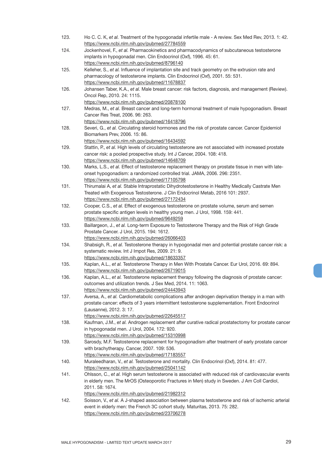| https://www.ncbi.nlm.nih.gov/pubmed/27784559<br>Jockenhovel, F., et al. Pharmacokinetics and pharmacodynamics of subcutaneous testosterone<br>124.<br>implants in hypogonadal men. Clin Endocrinol (Oxf), 1996. 45: 61.<br>https://www.ncbi.nlm.nih.gov/pubmed/8796140<br>Kelleher, S., et al. Influence of implantation site and track geometry on the extrusion rate and<br>125.<br>pharmacology of testosterone implants. Clin Endocrinol (Oxf), 2001. 55: 531.<br>https://www.ncbi.nlm.nih.gov/pubmed/11678837<br>Johansen Taber, K.A., et al. Male breast cancer: risk factors, diagnosis, and management (Review).<br>126.<br>Oncol Rep, 2010. 24: 1115.<br>https://www.ncbi.nlm.nih.gov/pubmed/20878100<br>Medras, M., et al. Breast cancer and long-term hormonal treatment of male hypogonadism. Breast<br>127.<br>Cancer Res Treat, 2006. 96: 263.<br>https://www.ncbi.nlm.nih.gov/pubmed/16418796<br>Severi, G., et al. Circulating steroid hormones and the risk of prostate cancer. Cancer Epidemiol<br>128.<br>Biomarkers Prev, 2006. 15: 86.<br>https://www.ncbi.nlm.nih.gov/pubmed/16434592<br>Stattin, P., et al. High levels of circulating testosterone are not associated with increased prostate<br>129.<br>cancer risk: a pooled prospective study. Int J Cancer, 2004. 108: 418.<br>https://www.ncbi.nlm.nih.gov/pubmed/14648709<br>Marks, L.S., et al. Effect of testosterone replacement therapy on prostate tissue in men with late-<br>130.<br>onset hypogonadism: a randomized controlled trial. JAMA, 2006. 296: 2351.<br>https://www.ncbi.nlm.nih.gov/pubmed/17105798<br>131.<br>Thirumalai A, et al. Stable Intraprostatic Dihydrotestosterone in Healthy Medically Castrate Men<br>Treated with Exogenous Testosterone. J Clin Endocrinol Metab, 2016 101: 2937.<br>https://www.ncbi.nlm.nih.gov/pubmed/27172434<br>Cooper, C.S., et al. Effect of exogenous testosterone on prostate volume, serum and semen<br>132.<br>prostate specific antigen levels in healthy young men. J Urol, 1998. 159: 441.<br>https://www.ncbi.nlm.nih.gov/pubmed/9649259<br>133.<br>Baillargeon, J., et al. Long-term Exposure to Testosterone Therapy and the Risk of High Grade<br>Prostate Cancer. J Urol, 2015. 194: 1612.<br>https://www.ncbi.nlm.nih.gov/pubmed/26066403<br>Shabsigh, R., et al. Testosterone therapy in hypogonadal men and potential prostate cancer risk: a<br>134.<br>systematic review. Int J Impot Res, 2009. 21: 9.<br>https://www.ncbi.nlm.nih.gov/pubmed/18633357<br>Kaplan, A.L., et al. Testosterone Therapy in Men With Prostate Cancer. Eur Urol, 2016. 69: 894.<br>135.<br>https://www.ncbi.nlm.nih.gov/pubmed/26719015<br>Kaplan, A.L., et al. Testosterone replacement therapy following the diagnosis of prostate cancer:<br>136.<br>outcomes and utilization trends. J Sex Med, 2014. 11: 1063.<br>https://www.ncbi.nlm.nih.gov/pubmed/24443943<br>137.<br>Aversa, A., et al. Cardiometabolic complications after androgen deprivation therapy in a man with<br>prostate cancer: effects of 3 years intermittent testosterone supplementation. Front Endocrinol<br>(Lausanne), 2012. 3: 17.<br>https://www.ncbi.nlm.nih.gov/pubmed/22645517<br>Kaufman, J.M., et al. Androgen replacement after curative radical prostatectomy for prostate cancer<br>138.<br>in hypogonadal men. J Urol, 2004. 172: 920.<br>https://www.ncbi.nlm.nih.gov/pubmed/15310998<br>Sarosdy, M.F. Testosterone replacement for hypogonadism after treatment of early prostate cancer<br>139.<br>with brachytherapy. Cancer, 2007. 109: 536.<br>https://www.ncbi.nlm.nih.gov/pubmed/17183557<br>140.<br>Muraleedharan, V., et al. Testosterone and mortality. Clin Endocrinol (Oxf), 2014. 81: 477.<br>https://www.ncbi.nlm.nih.gov/pubmed/25041142<br>141.<br>Ohlsson, C., et al. High serum testosterone is associated with reduced risk of cardiovascular events<br>in elderly men. The MrOS (Osteoporotic Fractures in Men) study in Sweden. J Am Coll Cardiol,<br>2011.58:1674.<br>https://www.ncbi.nlm.nih.gov/pubmed/21982312<br>Soisson, V., et al. A J-shaped association between plasma testosterone and risk of ischemic arterial<br>142.<br>event in elderly men: the French 3C cohort study. Maturitas, 2013. 75: 282.<br>https://www.ncbi.nlm.nih.gov/pubmed/23706278 | 123. | Ho C. C. K, et al. Treatment of the hypogonadal infertile male - A review. Sex Med Rev, 2013. 1: 42. |
|-------------------------------------------------------------------------------------------------------------------------------------------------------------------------------------------------------------------------------------------------------------------------------------------------------------------------------------------------------------------------------------------------------------------------------------------------------------------------------------------------------------------------------------------------------------------------------------------------------------------------------------------------------------------------------------------------------------------------------------------------------------------------------------------------------------------------------------------------------------------------------------------------------------------------------------------------------------------------------------------------------------------------------------------------------------------------------------------------------------------------------------------------------------------------------------------------------------------------------------------------------------------------------------------------------------------------------------------------------------------------------------------------------------------------------------------------------------------------------------------------------------------------------------------------------------------------------------------------------------------------------------------------------------------------------------------------------------------------------------------------------------------------------------------------------------------------------------------------------------------------------------------------------------------------------------------------------------------------------------------------------------------------------------------------------------------------------------------------------------------------------------------------------------------------------------------------------------------------------------------------------------------------------------------------------------------------------------------------------------------------------------------------------------------------------------------------------------------------------------------------------------------------------------------------------------------------------------------------------------------------------------------------------------------------------------------------------------------------------------------------------------------------------------------------------------------------------------------------------------------------------------------------------------------------------------------------------------------------------------------------------------------------------------------------------------------------------------------------------------------------------------------------------------------------------------------------------------------------------------------------------------------------------------------------------------------------------------------------------------------------------------------------------------------------------------------------------------------------------------------------------------------------------------------------------------------------------------------------------------------------------------------------------------------------------------------------------------------------------------------------------------------------------------------------------------------------------------------------------------------------------------------------------------------------------------------------------------------------------------------------------------------------------------------------------------------------------------------------------------------------------------------------------------------------------------------------------------------------------------------------------------------------------------------------------------------|------|------------------------------------------------------------------------------------------------------|
|                                                                                                                                                                                                                                                                                                                                                                                                                                                                                                                                                                                                                                                                                                                                                                                                                                                                                                                                                                                                                                                                                                                                                                                                                                                                                                                                                                                                                                                                                                                                                                                                                                                                                                                                                                                                                                                                                                                                                                                                                                                                                                                                                                                                                                                                                                                                                                                                                                                                                                                                                                                                                                                                                                                                                                                                                                                                                                                                                                                                                                                                                                                                                                                                                                                                                                                                                                                                                                                                                                                                                                                                                                                                                                                                                                                                                                                                                                                                                                                                                                                                                                                                                                                                                                                                                                                   |      |                                                                                                      |
|                                                                                                                                                                                                                                                                                                                                                                                                                                                                                                                                                                                                                                                                                                                                                                                                                                                                                                                                                                                                                                                                                                                                                                                                                                                                                                                                                                                                                                                                                                                                                                                                                                                                                                                                                                                                                                                                                                                                                                                                                                                                                                                                                                                                                                                                                                                                                                                                                                                                                                                                                                                                                                                                                                                                                                                                                                                                                                                                                                                                                                                                                                                                                                                                                                                                                                                                                                                                                                                                                                                                                                                                                                                                                                                                                                                                                                                                                                                                                                                                                                                                                                                                                                                                                                                                                                                   |      |                                                                                                      |
|                                                                                                                                                                                                                                                                                                                                                                                                                                                                                                                                                                                                                                                                                                                                                                                                                                                                                                                                                                                                                                                                                                                                                                                                                                                                                                                                                                                                                                                                                                                                                                                                                                                                                                                                                                                                                                                                                                                                                                                                                                                                                                                                                                                                                                                                                                                                                                                                                                                                                                                                                                                                                                                                                                                                                                                                                                                                                                                                                                                                                                                                                                                                                                                                                                                                                                                                                                                                                                                                                                                                                                                                                                                                                                                                                                                                                                                                                                                                                                                                                                                                                                                                                                                                                                                                                                                   |      |                                                                                                      |
|                                                                                                                                                                                                                                                                                                                                                                                                                                                                                                                                                                                                                                                                                                                                                                                                                                                                                                                                                                                                                                                                                                                                                                                                                                                                                                                                                                                                                                                                                                                                                                                                                                                                                                                                                                                                                                                                                                                                                                                                                                                                                                                                                                                                                                                                                                                                                                                                                                                                                                                                                                                                                                                                                                                                                                                                                                                                                                                                                                                                                                                                                                                                                                                                                                                                                                                                                                                                                                                                                                                                                                                                                                                                                                                                                                                                                                                                                                                                                                                                                                                                                                                                                                                                                                                                                                                   |      |                                                                                                      |
|                                                                                                                                                                                                                                                                                                                                                                                                                                                                                                                                                                                                                                                                                                                                                                                                                                                                                                                                                                                                                                                                                                                                                                                                                                                                                                                                                                                                                                                                                                                                                                                                                                                                                                                                                                                                                                                                                                                                                                                                                                                                                                                                                                                                                                                                                                                                                                                                                                                                                                                                                                                                                                                                                                                                                                                                                                                                                                                                                                                                                                                                                                                                                                                                                                                                                                                                                                                                                                                                                                                                                                                                                                                                                                                                                                                                                                                                                                                                                                                                                                                                                                                                                                                                                                                                                                                   |      |                                                                                                      |
|                                                                                                                                                                                                                                                                                                                                                                                                                                                                                                                                                                                                                                                                                                                                                                                                                                                                                                                                                                                                                                                                                                                                                                                                                                                                                                                                                                                                                                                                                                                                                                                                                                                                                                                                                                                                                                                                                                                                                                                                                                                                                                                                                                                                                                                                                                                                                                                                                                                                                                                                                                                                                                                                                                                                                                                                                                                                                                                                                                                                                                                                                                                                                                                                                                                                                                                                                                                                                                                                                                                                                                                                                                                                                                                                                                                                                                                                                                                                                                                                                                                                                                                                                                                                                                                                                                                   |      |                                                                                                      |
|                                                                                                                                                                                                                                                                                                                                                                                                                                                                                                                                                                                                                                                                                                                                                                                                                                                                                                                                                                                                                                                                                                                                                                                                                                                                                                                                                                                                                                                                                                                                                                                                                                                                                                                                                                                                                                                                                                                                                                                                                                                                                                                                                                                                                                                                                                                                                                                                                                                                                                                                                                                                                                                                                                                                                                                                                                                                                                                                                                                                                                                                                                                                                                                                                                                                                                                                                                                                                                                                                                                                                                                                                                                                                                                                                                                                                                                                                                                                                                                                                                                                                                                                                                                                                                                                                                                   |      |                                                                                                      |
|                                                                                                                                                                                                                                                                                                                                                                                                                                                                                                                                                                                                                                                                                                                                                                                                                                                                                                                                                                                                                                                                                                                                                                                                                                                                                                                                                                                                                                                                                                                                                                                                                                                                                                                                                                                                                                                                                                                                                                                                                                                                                                                                                                                                                                                                                                                                                                                                                                                                                                                                                                                                                                                                                                                                                                                                                                                                                                                                                                                                                                                                                                                                                                                                                                                                                                                                                                                                                                                                                                                                                                                                                                                                                                                                                                                                                                                                                                                                                                                                                                                                                                                                                                                                                                                                                                                   |      |                                                                                                      |
|                                                                                                                                                                                                                                                                                                                                                                                                                                                                                                                                                                                                                                                                                                                                                                                                                                                                                                                                                                                                                                                                                                                                                                                                                                                                                                                                                                                                                                                                                                                                                                                                                                                                                                                                                                                                                                                                                                                                                                                                                                                                                                                                                                                                                                                                                                                                                                                                                                                                                                                                                                                                                                                                                                                                                                                                                                                                                                                                                                                                                                                                                                                                                                                                                                                                                                                                                                                                                                                                                                                                                                                                                                                                                                                                                                                                                                                                                                                                                                                                                                                                                                                                                                                                                                                                                                                   |      |                                                                                                      |
|                                                                                                                                                                                                                                                                                                                                                                                                                                                                                                                                                                                                                                                                                                                                                                                                                                                                                                                                                                                                                                                                                                                                                                                                                                                                                                                                                                                                                                                                                                                                                                                                                                                                                                                                                                                                                                                                                                                                                                                                                                                                                                                                                                                                                                                                                                                                                                                                                                                                                                                                                                                                                                                                                                                                                                                                                                                                                                                                                                                                                                                                                                                                                                                                                                                                                                                                                                                                                                                                                                                                                                                                                                                                                                                                                                                                                                                                                                                                                                                                                                                                                                                                                                                                                                                                                                                   |      |                                                                                                      |
|                                                                                                                                                                                                                                                                                                                                                                                                                                                                                                                                                                                                                                                                                                                                                                                                                                                                                                                                                                                                                                                                                                                                                                                                                                                                                                                                                                                                                                                                                                                                                                                                                                                                                                                                                                                                                                                                                                                                                                                                                                                                                                                                                                                                                                                                                                                                                                                                                                                                                                                                                                                                                                                                                                                                                                                                                                                                                                                                                                                                                                                                                                                                                                                                                                                                                                                                                                                                                                                                                                                                                                                                                                                                                                                                                                                                                                                                                                                                                                                                                                                                                                                                                                                                                                                                                                                   |      |                                                                                                      |
|                                                                                                                                                                                                                                                                                                                                                                                                                                                                                                                                                                                                                                                                                                                                                                                                                                                                                                                                                                                                                                                                                                                                                                                                                                                                                                                                                                                                                                                                                                                                                                                                                                                                                                                                                                                                                                                                                                                                                                                                                                                                                                                                                                                                                                                                                                                                                                                                                                                                                                                                                                                                                                                                                                                                                                                                                                                                                                                                                                                                                                                                                                                                                                                                                                                                                                                                                                                                                                                                                                                                                                                                                                                                                                                                                                                                                                                                                                                                                                                                                                                                                                                                                                                                                                                                                                                   |      |                                                                                                      |
|                                                                                                                                                                                                                                                                                                                                                                                                                                                                                                                                                                                                                                                                                                                                                                                                                                                                                                                                                                                                                                                                                                                                                                                                                                                                                                                                                                                                                                                                                                                                                                                                                                                                                                                                                                                                                                                                                                                                                                                                                                                                                                                                                                                                                                                                                                                                                                                                                                                                                                                                                                                                                                                                                                                                                                                                                                                                                                                                                                                                                                                                                                                                                                                                                                                                                                                                                                                                                                                                                                                                                                                                                                                                                                                                                                                                                                                                                                                                                                                                                                                                                                                                                                                                                                                                                                                   |      |                                                                                                      |
|                                                                                                                                                                                                                                                                                                                                                                                                                                                                                                                                                                                                                                                                                                                                                                                                                                                                                                                                                                                                                                                                                                                                                                                                                                                                                                                                                                                                                                                                                                                                                                                                                                                                                                                                                                                                                                                                                                                                                                                                                                                                                                                                                                                                                                                                                                                                                                                                                                                                                                                                                                                                                                                                                                                                                                                                                                                                                                                                                                                                                                                                                                                                                                                                                                                                                                                                                                                                                                                                                                                                                                                                                                                                                                                                                                                                                                                                                                                                                                                                                                                                                                                                                                                                                                                                                                                   |      |                                                                                                      |
|                                                                                                                                                                                                                                                                                                                                                                                                                                                                                                                                                                                                                                                                                                                                                                                                                                                                                                                                                                                                                                                                                                                                                                                                                                                                                                                                                                                                                                                                                                                                                                                                                                                                                                                                                                                                                                                                                                                                                                                                                                                                                                                                                                                                                                                                                                                                                                                                                                                                                                                                                                                                                                                                                                                                                                                                                                                                                                                                                                                                                                                                                                                                                                                                                                                                                                                                                                                                                                                                                                                                                                                                                                                                                                                                                                                                                                                                                                                                                                                                                                                                                                                                                                                                                                                                                                                   |      |                                                                                                      |
|                                                                                                                                                                                                                                                                                                                                                                                                                                                                                                                                                                                                                                                                                                                                                                                                                                                                                                                                                                                                                                                                                                                                                                                                                                                                                                                                                                                                                                                                                                                                                                                                                                                                                                                                                                                                                                                                                                                                                                                                                                                                                                                                                                                                                                                                                                                                                                                                                                                                                                                                                                                                                                                                                                                                                                                                                                                                                                                                                                                                                                                                                                                                                                                                                                                                                                                                                                                                                                                                                                                                                                                                                                                                                                                                                                                                                                                                                                                                                                                                                                                                                                                                                                                                                                                                                                                   |      |                                                                                                      |
|                                                                                                                                                                                                                                                                                                                                                                                                                                                                                                                                                                                                                                                                                                                                                                                                                                                                                                                                                                                                                                                                                                                                                                                                                                                                                                                                                                                                                                                                                                                                                                                                                                                                                                                                                                                                                                                                                                                                                                                                                                                                                                                                                                                                                                                                                                                                                                                                                                                                                                                                                                                                                                                                                                                                                                                                                                                                                                                                                                                                                                                                                                                                                                                                                                                                                                                                                                                                                                                                                                                                                                                                                                                                                                                                                                                                                                                                                                                                                                                                                                                                                                                                                                                                                                                                                                                   |      |                                                                                                      |
|                                                                                                                                                                                                                                                                                                                                                                                                                                                                                                                                                                                                                                                                                                                                                                                                                                                                                                                                                                                                                                                                                                                                                                                                                                                                                                                                                                                                                                                                                                                                                                                                                                                                                                                                                                                                                                                                                                                                                                                                                                                                                                                                                                                                                                                                                                                                                                                                                                                                                                                                                                                                                                                                                                                                                                                                                                                                                                                                                                                                                                                                                                                                                                                                                                                                                                                                                                                                                                                                                                                                                                                                                                                                                                                                                                                                                                                                                                                                                                                                                                                                                                                                                                                                                                                                                                                   |      |                                                                                                      |
|                                                                                                                                                                                                                                                                                                                                                                                                                                                                                                                                                                                                                                                                                                                                                                                                                                                                                                                                                                                                                                                                                                                                                                                                                                                                                                                                                                                                                                                                                                                                                                                                                                                                                                                                                                                                                                                                                                                                                                                                                                                                                                                                                                                                                                                                                                                                                                                                                                                                                                                                                                                                                                                                                                                                                                                                                                                                                                                                                                                                                                                                                                                                                                                                                                                                                                                                                                                                                                                                                                                                                                                                                                                                                                                                                                                                                                                                                                                                                                                                                                                                                                                                                                                                                                                                                                                   |      |                                                                                                      |
|                                                                                                                                                                                                                                                                                                                                                                                                                                                                                                                                                                                                                                                                                                                                                                                                                                                                                                                                                                                                                                                                                                                                                                                                                                                                                                                                                                                                                                                                                                                                                                                                                                                                                                                                                                                                                                                                                                                                                                                                                                                                                                                                                                                                                                                                                                                                                                                                                                                                                                                                                                                                                                                                                                                                                                                                                                                                                                                                                                                                                                                                                                                                                                                                                                                                                                                                                                                                                                                                                                                                                                                                                                                                                                                                                                                                                                                                                                                                                                                                                                                                                                                                                                                                                                                                                                                   |      |                                                                                                      |
|                                                                                                                                                                                                                                                                                                                                                                                                                                                                                                                                                                                                                                                                                                                                                                                                                                                                                                                                                                                                                                                                                                                                                                                                                                                                                                                                                                                                                                                                                                                                                                                                                                                                                                                                                                                                                                                                                                                                                                                                                                                                                                                                                                                                                                                                                                                                                                                                                                                                                                                                                                                                                                                                                                                                                                                                                                                                                                                                                                                                                                                                                                                                                                                                                                                                                                                                                                                                                                                                                                                                                                                                                                                                                                                                                                                                                                                                                                                                                                                                                                                                                                                                                                                                                                                                                                                   |      |                                                                                                      |
|                                                                                                                                                                                                                                                                                                                                                                                                                                                                                                                                                                                                                                                                                                                                                                                                                                                                                                                                                                                                                                                                                                                                                                                                                                                                                                                                                                                                                                                                                                                                                                                                                                                                                                                                                                                                                                                                                                                                                                                                                                                                                                                                                                                                                                                                                                                                                                                                                                                                                                                                                                                                                                                                                                                                                                                                                                                                                                                                                                                                                                                                                                                                                                                                                                                                                                                                                                                                                                                                                                                                                                                                                                                                                                                                                                                                                                                                                                                                                                                                                                                                                                                                                                                                                                                                                                                   |      |                                                                                                      |
|                                                                                                                                                                                                                                                                                                                                                                                                                                                                                                                                                                                                                                                                                                                                                                                                                                                                                                                                                                                                                                                                                                                                                                                                                                                                                                                                                                                                                                                                                                                                                                                                                                                                                                                                                                                                                                                                                                                                                                                                                                                                                                                                                                                                                                                                                                                                                                                                                                                                                                                                                                                                                                                                                                                                                                                                                                                                                                                                                                                                                                                                                                                                                                                                                                                                                                                                                                                                                                                                                                                                                                                                                                                                                                                                                                                                                                                                                                                                                                                                                                                                                                                                                                                                                                                                                                                   |      |                                                                                                      |
|                                                                                                                                                                                                                                                                                                                                                                                                                                                                                                                                                                                                                                                                                                                                                                                                                                                                                                                                                                                                                                                                                                                                                                                                                                                                                                                                                                                                                                                                                                                                                                                                                                                                                                                                                                                                                                                                                                                                                                                                                                                                                                                                                                                                                                                                                                                                                                                                                                                                                                                                                                                                                                                                                                                                                                                                                                                                                                                                                                                                                                                                                                                                                                                                                                                                                                                                                                                                                                                                                                                                                                                                                                                                                                                                                                                                                                                                                                                                                                                                                                                                                                                                                                                                                                                                                                                   |      |                                                                                                      |
|                                                                                                                                                                                                                                                                                                                                                                                                                                                                                                                                                                                                                                                                                                                                                                                                                                                                                                                                                                                                                                                                                                                                                                                                                                                                                                                                                                                                                                                                                                                                                                                                                                                                                                                                                                                                                                                                                                                                                                                                                                                                                                                                                                                                                                                                                                                                                                                                                                                                                                                                                                                                                                                                                                                                                                                                                                                                                                                                                                                                                                                                                                                                                                                                                                                                                                                                                                                                                                                                                                                                                                                                                                                                                                                                                                                                                                                                                                                                                                                                                                                                                                                                                                                                                                                                                                                   |      |                                                                                                      |
|                                                                                                                                                                                                                                                                                                                                                                                                                                                                                                                                                                                                                                                                                                                                                                                                                                                                                                                                                                                                                                                                                                                                                                                                                                                                                                                                                                                                                                                                                                                                                                                                                                                                                                                                                                                                                                                                                                                                                                                                                                                                                                                                                                                                                                                                                                                                                                                                                                                                                                                                                                                                                                                                                                                                                                                                                                                                                                                                                                                                                                                                                                                                                                                                                                                                                                                                                                                                                                                                                                                                                                                                                                                                                                                                                                                                                                                                                                                                                                                                                                                                                                                                                                                                                                                                                                                   |      |                                                                                                      |
|                                                                                                                                                                                                                                                                                                                                                                                                                                                                                                                                                                                                                                                                                                                                                                                                                                                                                                                                                                                                                                                                                                                                                                                                                                                                                                                                                                                                                                                                                                                                                                                                                                                                                                                                                                                                                                                                                                                                                                                                                                                                                                                                                                                                                                                                                                                                                                                                                                                                                                                                                                                                                                                                                                                                                                                                                                                                                                                                                                                                                                                                                                                                                                                                                                                                                                                                                                                                                                                                                                                                                                                                                                                                                                                                                                                                                                                                                                                                                                                                                                                                                                                                                                                                                                                                                                                   |      |                                                                                                      |
|                                                                                                                                                                                                                                                                                                                                                                                                                                                                                                                                                                                                                                                                                                                                                                                                                                                                                                                                                                                                                                                                                                                                                                                                                                                                                                                                                                                                                                                                                                                                                                                                                                                                                                                                                                                                                                                                                                                                                                                                                                                                                                                                                                                                                                                                                                                                                                                                                                                                                                                                                                                                                                                                                                                                                                                                                                                                                                                                                                                                                                                                                                                                                                                                                                                                                                                                                                                                                                                                                                                                                                                                                                                                                                                                                                                                                                                                                                                                                                                                                                                                                                                                                                                                                                                                                                                   |      |                                                                                                      |
|                                                                                                                                                                                                                                                                                                                                                                                                                                                                                                                                                                                                                                                                                                                                                                                                                                                                                                                                                                                                                                                                                                                                                                                                                                                                                                                                                                                                                                                                                                                                                                                                                                                                                                                                                                                                                                                                                                                                                                                                                                                                                                                                                                                                                                                                                                                                                                                                                                                                                                                                                                                                                                                                                                                                                                                                                                                                                                                                                                                                                                                                                                                                                                                                                                                                                                                                                                                                                                                                                                                                                                                                                                                                                                                                                                                                                                                                                                                                                                                                                                                                                                                                                                                                                                                                                                                   |      |                                                                                                      |
|                                                                                                                                                                                                                                                                                                                                                                                                                                                                                                                                                                                                                                                                                                                                                                                                                                                                                                                                                                                                                                                                                                                                                                                                                                                                                                                                                                                                                                                                                                                                                                                                                                                                                                                                                                                                                                                                                                                                                                                                                                                                                                                                                                                                                                                                                                                                                                                                                                                                                                                                                                                                                                                                                                                                                                                                                                                                                                                                                                                                                                                                                                                                                                                                                                                                                                                                                                                                                                                                                                                                                                                                                                                                                                                                                                                                                                                                                                                                                                                                                                                                                                                                                                                                                                                                                                                   |      |                                                                                                      |
|                                                                                                                                                                                                                                                                                                                                                                                                                                                                                                                                                                                                                                                                                                                                                                                                                                                                                                                                                                                                                                                                                                                                                                                                                                                                                                                                                                                                                                                                                                                                                                                                                                                                                                                                                                                                                                                                                                                                                                                                                                                                                                                                                                                                                                                                                                                                                                                                                                                                                                                                                                                                                                                                                                                                                                                                                                                                                                                                                                                                                                                                                                                                                                                                                                                                                                                                                                                                                                                                                                                                                                                                                                                                                                                                                                                                                                                                                                                                                                                                                                                                                                                                                                                                                                                                                                                   |      |                                                                                                      |
|                                                                                                                                                                                                                                                                                                                                                                                                                                                                                                                                                                                                                                                                                                                                                                                                                                                                                                                                                                                                                                                                                                                                                                                                                                                                                                                                                                                                                                                                                                                                                                                                                                                                                                                                                                                                                                                                                                                                                                                                                                                                                                                                                                                                                                                                                                                                                                                                                                                                                                                                                                                                                                                                                                                                                                                                                                                                                                                                                                                                                                                                                                                                                                                                                                                                                                                                                                                                                                                                                                                                                                                                                                                                                                                                                                                                                                                                                                                                                                                                                                                                                                                                                                                                                                                                                                                   |      |                                                                                                      |
|                                                                                                                                                                                                                                                                                                                                                                                                                                                                                                                                                                                                                                                                                                                                                                                                                                                                                                                                                                                                                                                                                                                                                                                                                                                                                                                                                                                                                                                                                                                                                                                                                                                                                                                                                                                                                                                                                                                                                                                                                                                                                                                                                                                                                                                                                                                                                                                                                                                                                                                                                                                                                                                                                                                                                                                                                                                                                                                                                                                                                                                                                                                                                                                                                                                                                                                                                                                                                                                                                                                                                                                                                                                                                                                                                                                                                                                                                                                                                                                                                                                                                                                                                                                                                                                                                                                   |      |                                                                                                      |
|                                                                                                                                                                                                                                                                                                                                                                                                                                                                                                                                                                                                                                                                                                                                                                                                                                                                                                                                                                                                                                                                                                                                                                                                                                                                                                                                                                                                                                                                                                                                                                                                                                                                                                                                                                                                                                                                                                                                                                                                                                                                                                                                                                                                                                                                                                                                                                                                                                                                                                                                                                                                                                                                                                                                                                                                                                                                                                                                                                                                                                                                                                                                                                                                                                                                                                                                                                                                                                                                                                                                                                                                                                                                                                                                                                                                                                                                                                                                                                                                                                                                                                                                                                                                                                                                                                                   |      |                                                                                                      |
|                                                                                                                                                                                                                                                                                                                                                                                                                                                                                                                                                                                                                                                                                                                                                                                                                                                                                                                                                                                                                                                                                                                                                                                                                                                                                                                                                                                                                                                                                                                                                                                                                                                                                                                                                                                                                                                                                                                                                                                                                                                                                                                                                                                                                                                                                                                                                                                                                                                                                                                                                                                                                                                                                                                                                                                                                                                                                                                                                                                                                                                                                                                                                                                                                                                                                                                                                                                                                                                                                                                                                                                                                                                                                                                                                                                                                                                                                                                                                                                                                                                                                                                                                                                                                                                                                                                   |      |                                                                                                      |
|                                                                                                                                                                                                                                                                                                                                                                                                                                                                                                                                                                                                                                                                                                                                                                                                                                                                                                                                                                                                                                                                                                                                                                                                                                                                                                                                                                                                                                                                                                                                                                                                                                                                                                                                                                                                                                                                                                                                                                                                                                                                                                                                                                                                                                                                                                                                                                                                                                                                                                                                                                                                                                                                                                                                                                                                                                                                                                                                                                                                                                                                                                                                                                                                                                                                                                                                                                                                                                                                                                                                                                                                                                                                                                                                                                                                                                                                                                                                                                                                                                                                                                                                                                                                                                                                                                                   |      |                                                                                                      |
|                                                                                                                                                                                                                                                                                                                                                                                                                                                                                                                                                                                                                                                                                                                                                                                                                                                                                                                                                                                                                                                                                                                                                                                                                                                                                                                                                                                                                                                                                                                                                                                                                                                                                                                                                                                                                                                                                                                                                                                                                                                                                                                                                                                                                                                                                                                                                                                                                                                                                                                                                                                                                                                                                                                                                                                                                                                                                                                                                                                                                                                                                                                                                                                                                                                                                                                                                                                                                                                                                                                                                                                                                                                                                                                                                                                                                                                                                                                                                                                                                                                                                                                                                                                                                                                                                                                   |      |                                                                                                      |
|                                                                                                                                                                                                                                                                                                                                                                                                                                                                                                                                                                                                                                                                                                                                                                                                                                                                                                                                                                                                                                                                                                                                                                                                                                                                                                                                                                                                                                                                                                                                                                                                                                                                                                                                                                                                                                                                                                                                                                                                                                                                                                                                                                                                                                                                                                                                                                                                                                                                                                                                                                                                                                                                                                                                                                                                                                                                                                                                                                                                                                                                                                                                                                                                                                                                                                                                                                                                                                                                                                                                                                                                                                                                                                                                                                                                                                                                                                                                                                                                                                                                                                                                                                                                                                                                                                                   |      |                                                                                                      |
|                                                                                                                                                                                                                                                                                                                                                                                                                                                                                                                                                                                                                                                                                                                                                                                                                                                                                                                                                                                                                                                                                                                                                                                                                                                                                                                                                                                                                                                                                                                                                                                                                                                                                                                                                                                                                                                                                                                                                                                                                                                                                                                                                                                                                                                                                                                                                                                                                                                                                                                                                                                                                                                                                                                                                                                                                                                                                                                                                                                                                                                                                                                                                                                                                                                                                                                                                                                                                                                                                                                                                                                                                                                                                                                                                                                                                                                                                                                                                                                                                                                                                                                                                                                                                                                                                                                   |      |                                                                                                      |
|                                                                                                                                                                                                                                                                                                                                                                                                                                                                                                                                                                                                                                                                                                                                                                                                                                                                                                                                                                                                                                                                                                                                                                                                                                                                                                                                                                                                                                                                                                                                                                                                                                                                                                                                                                                                                                                                                                                                                                                                                                                                                                                                                                                                                                                                                                                                                                                                                                                                                                                                                                                                                                                                                                                                                                                                                                                                                                                                                                                                                                                                                                                                                                                                                                                                                                                                                                                                                                                                                                                                                                                                                                                                                                                                                                                                                                                                                                                                                                                                                                                                                                                                                                                                                                                                                                                   |      |                                                                                                      |
|                                                                                                                                                                                                                                                                                                                                                                                                                                                                                                                                                                                                                                                                                                                                                                                                                                                                                                                                                                                                                                                                                                                                                                                                                                                                                                                                                                                                                                                                                                                                                                                                                                                                                                                                                                                                                                                                                                                                                                                                                                                                                                                                                                                                                                                                                                                                                                                                                                                                                                                                                                                                                                                                                                                                                                                                                                                                                                                                                                                                                                                                                                                                                                                                                                                                                                                                                                                                                                                                                                                                                                                                                                                                                                                                                                                                                                                                                                                                                                                                                                                                                                                                                                                                                                                                                                                   |      |                                                                                                      |
|                                                                                                                                                                                                                                                                                                                                                                                                                                                                                                                                                                                                                                                                                                                                                                                                                                                                                                                                                                                                                                                                                                                                                                                                                                                                                                                                                                                                                                                                                                                                                                                                                                                                                                                                                                                                                                                                                                                                                                                                                                                                                                                                                                                                                                                                                                                                                                                                                                                                                                                                                                                                                                                                                                                                                                                                                                                                                                                                                                                                                                                                                                                                                                                                                                                                                                                                                                                                                                                                                                                                                                                                                                                                                                                                                                                                                                                                                                                                                                                                                                                                                                                                                                                                                                                                                                                   |      |                                                                                                      |
|                                                                                                                                                                                                                                                                                                                                                                                                                                                                                                                                                                                                                                                                                                                                                                                                                                                                                                                                                                                                                                                                                                                                                                                                                                                                                                                                                                                                                                                                                                                                                                                                                                                                                                                                                                                                                                                                                                                                                                                                                                                                                                                                                                                                                                                                                                                                                                                                                                                                                                                                                                                                                                                                                                                                                                                                                                                                                                                                                                                                                                                                                                                                                                                                                                                                                                                                                                                                                                                                                                                                                                                                                                                                                                                                                                                                                                                                                                                                                                                                                                                                                                                                                                                                                                                                                                                   |      |                                                                                                      |
|                                                                                                                                                                                                                                                                                                                                                                                                                                                                                                                                                                                                                                                                                                                                                                                                                                                                                                                                                                                                                                                                                                                                                                                                                                                                                                                                                                                                                                                                                                                                                                                                                                                                                                                                                                                                                                                                                                                                                                                                                                                                                                                                                                                                                                                                                                                                                                                                                                                                                                                                                                                                                                                                                                                                                                                                                                                                                                                                                                                                                                                                                                                                                                                                                                                                                                                                                                                                                                                                                                                                                                                                                                                                                                                                                                                                                                                                                                                                                                                                                                                                                                                                                                                                                                                                                                                   |      |                                                                                                      |
|                                                                                                                                                                                                                                                                                                                                                                                                                                                                                                                                                                                                                                                                                                                                                                                                                                                                                                                                                                                                                                                                                                                                                                                                                                                                                                                                                                                                                                                                                                                                                                                                                                                                                                                                                                                                                                                                                                                                                                                                                                                                                                                                                                                                                                                                                                                                                                                                                                                                                                                                                                                                                                                                                                                                                                                                                                                                                                                                                                                                                                                                                                                                                                                                                                                                                                                                                                                                                                                                                                                                                                                                                                                                                                                                                                                                                                                                                                                                                                                                                                                                                                                                                                                                                                                                                                                   |      |                                                                                                      |
|                                                                                                                                                                                                                                                                                                                                                                                                                                                                                                                                                                                                                                                                                                                                                                                                                                                                                                                                                                                                                                                                                                                                                                                                                                                                                                                                                                                                                                                                                                                                                                                                                                                                                                                                                                                                                                                                                                                                                                                                                                                                                                                                                                                                                                                                                                                                                                                                                                                                                                                                                                                                                                                                                                                                                                                                                                                                                                                                                                                                                                                                                                                                                                                                                                                                                                                                                                                                                                                                                                                                                                                                                                                                                                                                                                                                                                                                                                                                                                                                                                                                                                                                                                                                                                                                                                                   |      |                                                                                                      |
|                                                                                                                                                                                                                                                                                                                                                                                                                                                                                                                                                                                                                                                                                                                                                                                                                                                                                                                                                                                                                                                                                                                                                                                                                                                                                                                                                                                                                                                                                                                                                                                                                                                                                                                                                                                                                                                                                                                                                                                                                                                                                                                                                                                                                                                                                                                                                                                                                                                                                                                                                                                                                                                                                                                                                                                                                                                                                                                                                                                                                                                                                                                                                                                                                                                                                                                                                                                                                                                                                                                                                                                                                                                                                                                                                                                                                                                                                                                                                                                                                                                                                                                                                                                                                                                                                                                   |      |                                                                                                      |
|                                                                                                                                                                                                                                                                                                                                                                                                                                                                                                                                                                                                                                                                                                                                                                                                                                                                                                                                                                                                                                                                                                                                                                                                                                                                                                                                                                                                                                                                                                                                                                                                                                                                                                                                                                                                                                                                                                                                                                                                                                                                                                                                                                                                                                                                                                                                                                                                                                                                                                                                                                                                                                                                                                                                                                                                                                                                                                                                                                                                                                                                                                                                                                                                                                                                                                                                                                                                                                                                                                                                                                                                                                                                                                                                                                                                                                                                                                                                                                                                                                                                                                                                                                                                                                                                                                                   |      |                                                                                                      |
|                                                                                                                                                                                                                                                                                                                                                                                                                                                                                                                                                                                                                                                                                                                                                                                                                                                                                                                                                                                                                                                                                                                                                                                                                                                                                                                                                                                                                                                                                                                                                                                                                                                                                                                                                                                                                                                                                                                                                                                                                                                                                                                                                                                                                                                                                                                                                                                                                                                                                                                                                                                                                                                                                                                                                                                                                                                                                                                                                                                                                                                                                                                                                                                                                                                                                                                                                                                                                                                                                                                                                                                                                                                                                                                                                                                                                                                                                                                                                                                                                                                                                                                                                                                                                                                                                                                   |      |                                                                                                      |
|                                                                                                                                                                                                                                                                                                                                                                                                                                                                                                                                                                                                                                                                                                                                                                                                                                                                                                                                                                                                                                                                                                                                                                                                                                                                                                                                                                                                                                                                                                                                                                                                                                                                                                                                                                                                                                                                                                                                                                                                                                                                                                                                                                                                                                                                                                                                                                                                                                                                                                                                                                                                                                                                                                                                                                                                                                                                                                                                                                                                                                                                                                                                                                                                                                                                                                                                                                                                                                                                                                                                                                                                                                                                                                                                                                                                                                                                                                                                                                                                                                                                                                                                                                                                                                                                                                                   |      |                                                                                                      |
|                                                                                                                                                                                                                                                                                                                                                                                                                                                                                                                                                                                                                                                                                                                                                                                                                                                                                                                                                                                                                                                                                                                                                                                                                                                                                                                                                                                                                                                                                                                                                                                                                                                                                                                                                                                                                                                                                                                                                                                                                                                                                                                                                                                                                                                                                                                                                                                                                                                                                                                                                                                                                                                                                                                                                                                                                                                                                                                                                                                                                                                                                                                                                                                                                                                                                                                                                                                                                                                                                                                                                                                                                                                                                                                                                                                                                                                                                                                                                                                                                                                                                                                                                                                                                                                                                                                   |      |                                                                                                      |
|                                                                                                                                                                                                                                                                                                                                                                                                                                                                                                                                                                                                                                                                                                                                                                                                                                                                                                                                                                                                                                                                                                                                                                                                                                                                                                                                                                                                                                                                                                                                                                                                                                                                                                                                                                                                                                                                                                                                                                                                                                                                                                                                                                                                                                                                                                                                                                                                                                                                                                                                                                                                                                                                                                                                                                                                                                                                                                                                                                                                                                                                                                                                                                                                                                                                                                                                                                                                                                                                                                                                                                                                                                                                                                                                                                                                                                                                                                                                                                                                                                                                                                                                                                                                                                                                                                                   |      |                                                                                                      |
|                                                                                                                                                                                                                                                                                                                                                                                                                                                                                                                                                                                                                                                                                                                                                                                                                                                                                                                                                                                                                                                                                                                                                                                                                                                                                                                                                                                                                                                                                                                                                                                                                                                                                                                                                                                                                                                                                                                                                                                                                                                                                                                                                                                                                                                                                                                                                                                                                                                                                                                                                                                                                                                                                                                                                                                                                                                                                                                                                                                                                                                                                                                                                                                                                                                                                                                                                                                                                                                                                                                                                                                                                                                                                                                                                                                                                                                                                                                                                                                                                                                                                                                                                                                                                                                                                                                   |      |                                                                                                      |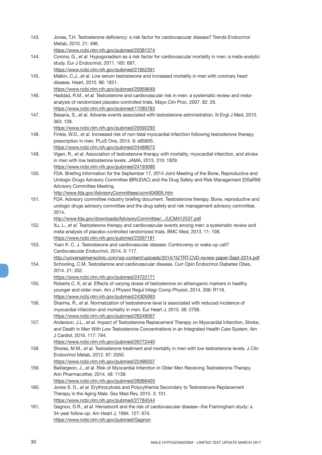| Metab, 2010. 21: 496.<br>https://www.ncbi.nlm.nih.gov/pubmed/20381374                                                                             |
|---------------------------------------------------------------------------------------------------------------------------------------------------|
|                                                                                                                                                   |
|                                                                                                                                                   |
| Corona, G., et al. Hypogonadism as a risk factor for cardiovascular mortality in men: a meta-analytic                                             |
| study. Eur J Endocrinol, 2011. 165: 687.                                                                                                          |
| https://www.ncbi.nlm.nih.gov/pubmed/21852391                                                                                                      |
| Malkin, C.J., et al. Low serum testosterone and increased mortality in men with coronary heart                                                    |
| disease. Heart, 2010. 96: 1821.                                                                                                                   |
| https://www.ncbi.nlm.nih.gov/pubmed/20959649                                                                                                      |
| Haddad, R.M., et al. Testosterone and cardiovascular risk in men: a systematic review and meta-                                                   |
| analysis of randomized placebo-controlled trials. Mayo Clin Proc, 2007. 82: 29.                                                                   |
| https://www.ncbi.nlm.nih.gov/pubmed/17285783                                                                                                      |
| Basaria, S., et al. Adverse events associated with testosterone administration. N Engl J Med, 2010.                                               |
|                                                                                                                                                   |
| https://www.ncbi.nlm.nih.gov/pubmed/20592293                                                                                                      |
| Finkle, W.D., et al. Increased risk of non-fatal myocardial infarction following testosterone therapy                                             |
| prescription in men. PLoS One, 2014. 9: e85805.                                                                                                   |
| https://www.ncbi.nlm.nih.gov/pubmed/24489673                                                                                                      |
| Vigen, R., et al. Association of testosterone therapy with mortality, myocardial infarction, and stroke                                           |
| in men with low testosterone levels. JAMA, 2013. 310: 1829.                                                                                       |
| https://www.ncbi.nlm.nih.gov/pubmed/24193080                                                                                                      |
| FDA. Briefing Information for the September 17, 2014 Joint Meeting of the Bone, Reproductive and                                                  |
| Urologic Drugs Advisory Committee (BRUDAC) and the Drug Safety and Risk Management (DSaRM)                                                        |
| Advisory Committee Meeting.                                                                                                                       |
| http://www.fda.gov/AdvisoryCommittees/ucm404905.htm                                                                                               |
| FDA. Advisory committee industry briefing document. Testosterone therapy. Bone, reproductive and                                                  |
| urologic drugs advisory committee and the drug safety and risk management advisory committee.                                                     |
|                                                                                                                                                   |
| http://www.fda.gov/downloads/AdvisoryCommittee//UCM412537.pdf                                                                                     |
| Xu, L., et al. Testosterone therapy and cardiovascular events among men: a systematic review and                                                  |
|                                                                                                                                                   |
| meta-analysis of placebo-controlled randomized trials. BMC Med, 2013. 11: 108.                                                                    |
| https://www.ncbi.nlm.nih.gov/pubmed/23597181                                                                                                      |
| Yuen K. C. J. Testosterone and cardiovascular disease: Controversy or wake-up call?                                                               |
| Cardiovascular Endocrinol, 2014. 3: 117.                                                                                                          |
| http://universalmensclinic.com/wp-content/uploads/2014/10/TRT-CVD-review-paper-Sept-2014.pdf                                                      |
| Schooling, C.M. Testosterone and cardiovascular disease. Curr Opin Endocrinol Diabetes Obes,                                                      |
| 2014.21:202.                                                                                                                                      |
| https://www.ncbi.nlm.nih.gov/pubmed/24722171                                                                                                      |
| Roberts C. K, et al. Effects of varying doses of testosterone on atherogenic markers in healthy                                                   |
| younger and older men. Am J Physiol Regul Integr Comp Physiol, 2014. 306: R118.                                                                   |
| https://www.ncbi.nlm.nih.gov/pubmed/24305063                                                                                                      |
| Sharma, R., et al. Normalization of testosterone level is associated with reduced incidence of                                                    |
| myocardial infarction and mortality in men. Eur Heart J, 2015. 36: 2706.                                                                          |
| https://www.ncbi.nlm.nih.gov/pubmed/26248567                                                                                                      |
| Anderson, J.L., et al. Impact of Testosterone Replacement Therapy on Myocardial Infarction, Stroke,                                               |
| and Death in Men With Low Testosterone Concentrations in an Integrated Health Care System. Am                                                     |
| J Cardiol, 2016. 117: 794.                                                                                                                        |
| https://www.ncbi.nlm.nih.gov/pubmed/26772440                                                                                                      |
| Shores, M.M., et al. Testosterone treatment and mortality in men with low testosterone levels. J Clin                                             |
| Endocrinol Metab, 2012. 97: 2050.                                                                                                                 |
| https://www.ncbi.nlm.nih.gov/pubmed/22496507                                                                                                      |
| Baillargeon, J., et al. Risk of Myocardial Infarction in Older Men Receiving Testosterone Therapy.                                                |
| Ann Pharmacother, 2014. 48: 1138.                                                                                                                 |
| https://www.ncbi.nlm.nih.gov/pubmed/26066403                                                                                                      |
| Jones S. D., et al. Erythrocytosis and Polycythemia Secondary to Testosterone Replacement                                                         |
| Therapy in the Aging Male. Sex Med Rev, 2015. 3: 101.                                                                                             |
| https://www.ncbi.nlm.nih.gov/pubmed/27784544                                                                                                      |
| Gagnon, D.R., et al. Hematocrit and the risk of cardiovascular disease--the Framingham study: a<br>34-year follow-up. Am Heart J, 1994. 127: 674. |
|                                                                                                                                                   |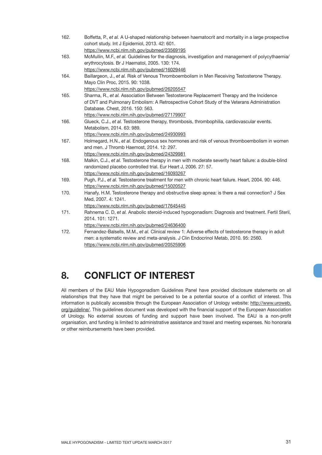| 162. | Boffetta, P., et al. A U-shaped relationship between haematocrit and mortality in a large prospective<br>cohort study. Int J Epidemiol, 2013. 42: 601.<br>https://www.ncbi.nlm.nih.gov/pubmed/23569195                                                                      |
|------|-----------------------------------------------------------------------------------------------------------------------------------------------------------------------------------------------------------------------------------------------------------------------------|
| 163. | McMullin, M.F., et al. Guidelines for the diagnosis, investigation and management of polycythaemia/<br>erythrocytosis. Br J Haematol, 2005. 130: 174.<br>https://www.ncbi.nlm.nih.gov/pubmed/16029446                                                                       |
| 164. | Baillargeon, J., et al. Risk of Venous Thromboembolism in Men Receiving Testosterone Therapy.<br>Mayo Clin Proc, 2015. 90: 1038.<br>https://www.ncbi.nlm.nih.gov/pubmed/26205547                                                                                            |
| 165. | Sharma, R., et al. Association Between Testosterone Replacement Therapy and the Incidence<br>of DVT and Pulmonary Embolism: A Retrospective Cohort Study of the Veterans Administration<br>Database. Chest, 2016. 150: 563.<br>https://www.ncbi.nlm.nih.gov/pubmed/27179907 |
| 166. | Glueck, C.J., et al. Testosterone therapy, thrombosis, thrombophilia, cardiovascular events.<br>Metabolism, 2014. 63: 989.<br>https://www.ncbi.nlm.nih.gov/pubmed/24930993                                                                                                  |
| 167. | Holmegard, H.N., et al. Endogenous sex hormones and risk of venous thromboembolism in women<br>and men. J Thromb Haemost, 2014. 12: 297.<br>https://www.ncbi.nlm.nih.gov/pubmed/24329981                                                                                    |
| 168. | Malkin, C.J., et al. Testosterone therapy in men with moderate severity heart failure: a double-blind<br>randomized placebo controlled trial. Eur Heart J, 2006. 27: 57.<br>https://www.ncbi.nlm.nih.gov/pubmed/16093267                                                    |
| 169. | Pugh, P.J., et al. Testosterone treatment for men with chronic heart failure. Heart, 2004. 90: 446.<br>https://www.ncbi.nlm.nih.gov/pubmed/15020527                                                                                                                         |
| 170. | Hanafy, H.M. Testosterone therapy and obstructive sleep apnea: is there a real connection? J Sex<br>Med, 2007. 4: 1241.<br>https://www.ncbi.nlm.nih.gov/pubmed/17645445                                                                                                     |
| 171. | Rahnema C. D, et al. Anabolic steroid-induced hypogonadism: Diagnosis and treatment. Fertil Steril,<br>2014. 101: 1271.<br>https://www.ncbi.nlm.nih.gov/pubmed/24636400                                                                                                     |
| 172. | Fernandez-Balsells, M.M., et al. Clinical review 1: Adverse effects of testosterone therapy in adult<br>men: a systematic review and meta-analysis. J Clin Endocrinol Metab, 2010. 95: 2560.<br>https://www.ncbi.nlm.nih.gov/pubmed/20525906                                |

## **8. CONFLICT OF INTEREST**

All members of the EAU Male Hypogonadism Guidelines Panel have provided disclosure statements on all relationships that they have that might be perceived to be a potential source of a conflict of interest. This information is publically accessible through the European Association of Urology website: http://www.uroweb. org/guideline/. This guidelines document was developed with the financial support of the European Association of Urology. No external sources of funding and support have been involved. The EAU is a non-profit organisation, and funding is limited to administrative assistance and travel and meeting expenses. No honoraria or other reimbursements have been provided.